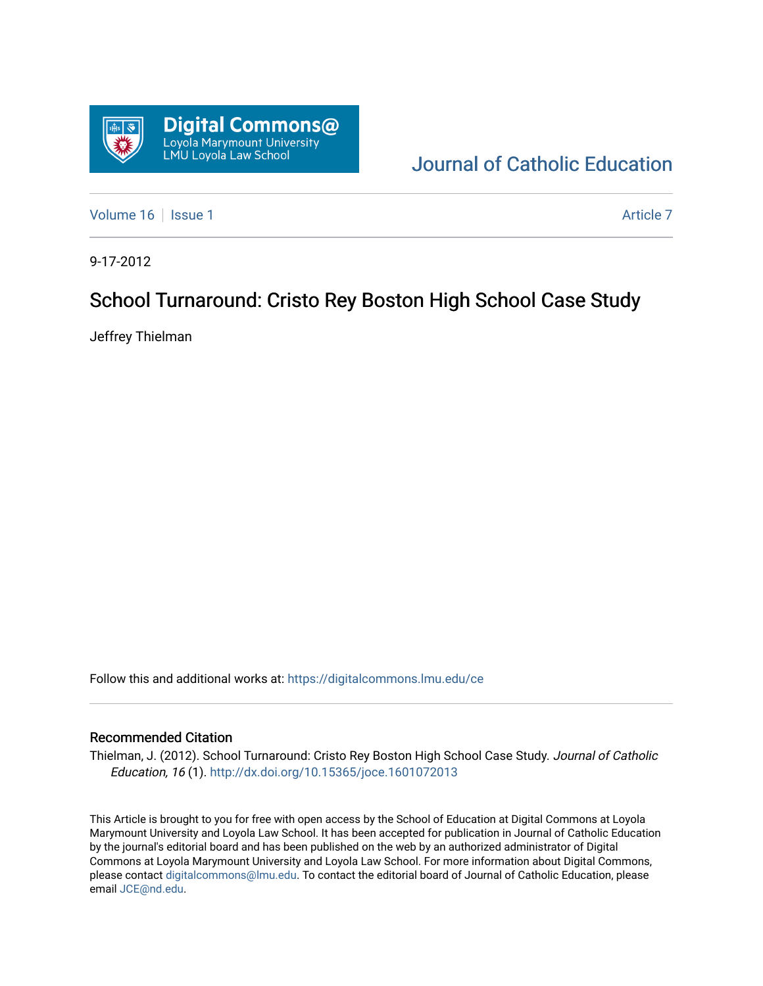

[Journal of Catholic Education](https://digitalcommons.lmu.edu/ce) 

[Volume 16](https://digitalcommons.lmu.edu/ce/vol16) | [Issue 1](https://digitalcommons.lmu.edu/ce/vol16/iss1) Article 7

9-17-2012

# School Turnaround: Cristo Rey Boston High School Case Study

Jeffrey Thielman

Follow this and additional works at: [https://digitalcommons.lmu.edu/ce](https://digitalcommons.lmu.edu/ce?utm_source=digitalcommons.lmu.edu%2Fce%2Fvol16%2Fiss1%2F7&utm_medium=PDF&utm_campaign=PDFCoverPages)

## Recommended Citation

Thielman, J. (2012). School Turnaround: Cristo Rey Boston High School Case Study. Journal of Catholic Education, 16 (1). <http://dx.doi.org/10.15365/joce.1601072013>

This Article is brought to you for free with open access by the School of Education at Digital Commons at Loyola Marymount University and Loyola Law School. It has been accepted for publication in Journal of Catholic Education by the journal's editorial board and has been published on the web by an authorized administrator of Digital Commons at Loyola Marymount University and Loyola Law School. For more information about Digital Commons, please contact [digitalcommons@lmu.edu](mailto:digitalcommons@lmu.edu). To contact the editorial board of Journal of Catholic Education, please email [JCE@nd.edu](mailto:JCE@nd.edu).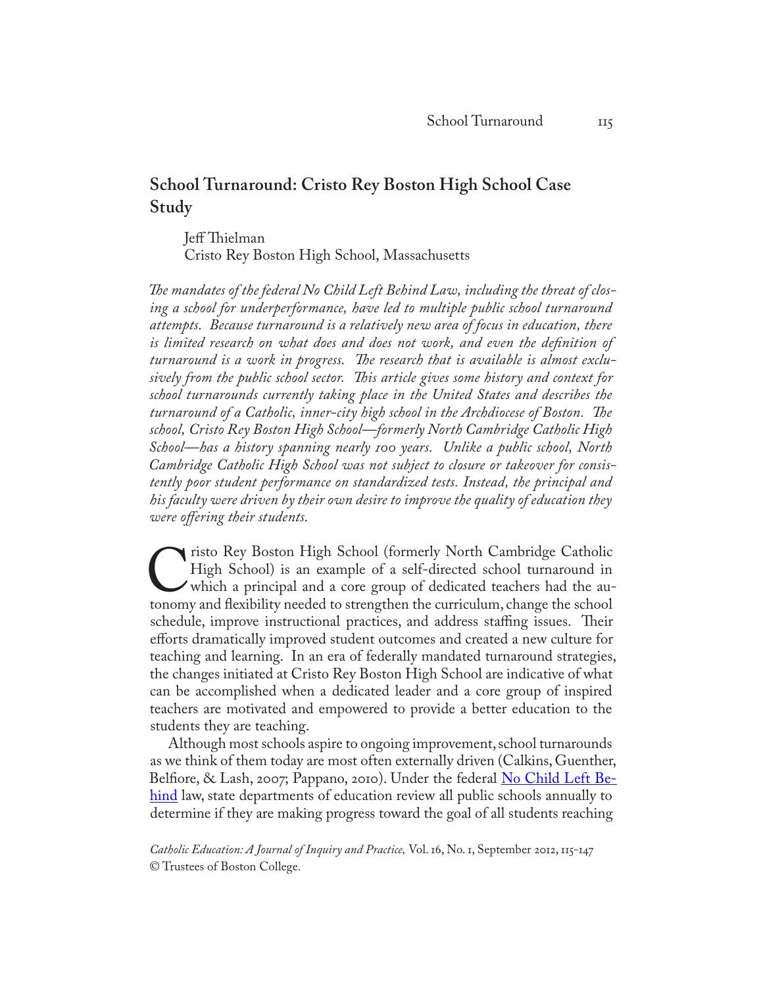## **School Turnaround: Cristo Rey Boston High School Case Study**

Jeff Thielman Cristo Rey Boston High School, Massachusetts

*The mandates of the federal No Child Left Behind Law, including the threat of closing a school for underperformance, have led to multiple public school turnaround attempts. Because turnaround is a relatively new area of focus in education, there is limited research on what does and does not work, and even the definition of turnaround is a work in progress. The research that is available is almost exclusively from the public school sector. This article gives some history and context for school turnarounds currently taking place in the United States and describes the turnaround of a Catholic, inner-city high school in the Archdiocese of Boston. The school, Cristo Rey Boston High School—formerly North Cambridge Catholic High School—has a history spanning nearly 100 years. Unlike a public school, North Cambridge Catholic High School was not subject to closure or takeover for consistently poor student performance on standardized tests. Instead, the principal and his faculty were driven by their own desire to improve the quality of education they were offering their students.* 

Tristo Rey Boston High School (formerly North [C](http://www.cristoreyboston.org)ambridge Catholic High School) is an example of a self-directed school turnaround in which a principal and a core group of dedicated teachers had the autonomy and flexibility High School) is an example of a self-directed school turnaround in which a principal and a core group of dedicated teachers had the auschedule, improve instructional practices, and address staffing issues. Their efforts dramatically improved student outcomes and created a new culture for teaching and learning. In an era of federally mandated turnaround strategies, the changes initiated at Cristo Rey Boston High School are indicative of what can be accomplished when a dedicated leader and a core group of inspired teachers are motivated and empowered to provide a better education to the students they are teaching.

Although most schools aspire to ongoing improvement, school turnarounds as we think of them today are most often externally driven (Calkins, Guenther, Belfiore, & Lash, 2007; Pappano, 2010). Under the federal <u>No Child Left Be-</u> [hind](http://www2.ed.gov/nclb/landing.jhtml) law, state departments of education review all public schools annually to determine if they are making progress toward the goal of all students reaching

*Catholic Education: A Journal of Inquiry and Practice,* Vol. 16, No. 1, September 2012, 115-147 © Trustees of Boston College.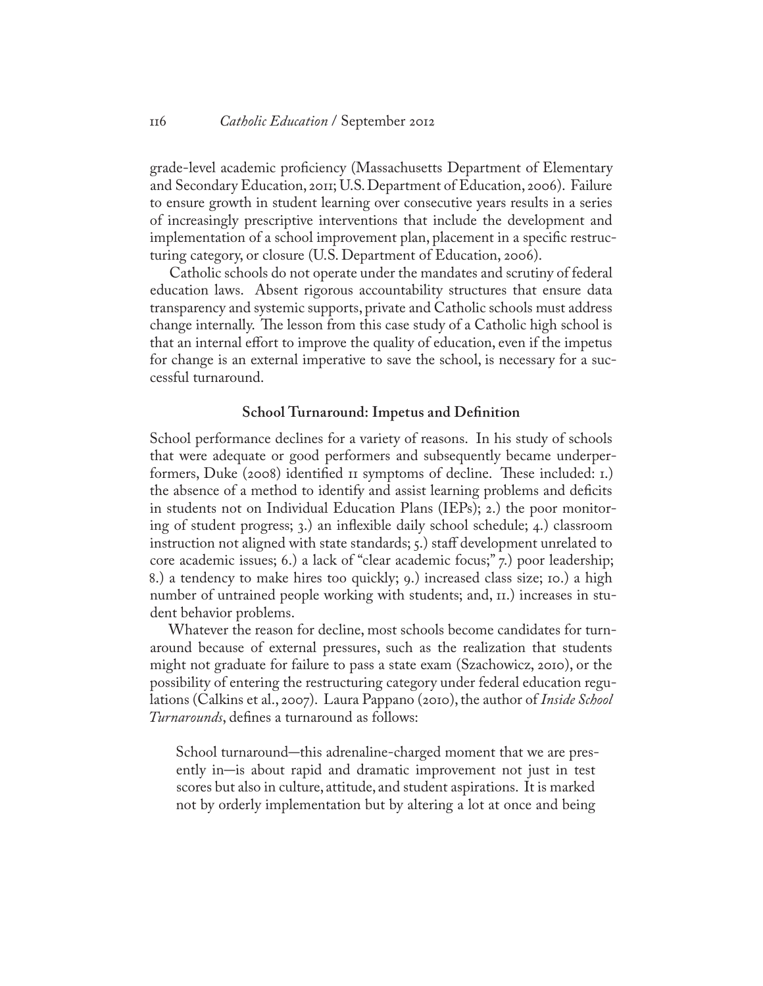grade-level academic proficiency (Massachusetts Department of Elementary and Secondary Education, 2011; U.S. Department of Education, 2006). Failure to ensure growth in student learning over consecutive years results in a series of increasingly prescriptive interventions that include the development and implementation of a school improvement plan, placement in a specific restructuring category, or closure (U.S. Department of Education, 2006).

Catholic schools do not operate under the mandates and scrutiny of federal education laws. Absent rigorous accountability structures that ensure data transparency and systemic supports, private and Catholic schools must address change internally. The lesson from this case study of a Catholic high school is that an internal effort to improve the quality of education, even if the impetus for change is an external imperative to save the school, is necessary for a successful turnaround.

#### **School Turnaround: Impetus and Definition**

School performance declines for a variety of reasons. In his study of schools that were adequate or good performers and subsequently became underperformers, Duke (2008) identified 11 symptoms of decline. These included: 1.) the absence of a method to identify and assist learning problems and deficits in students not on Individual Education Plans (IEPs); 2.) the poor monitoring of student progress; 3.) an inflexible daily school schedule; 4.) classroom instruction not aligned with state standards; 5.) staff development unrelated to core academic issues; 6.) a lack of "clear academic focus;" 7.) poor leadership; 8.) a tendency to make hires too quickly; 9.) increased class size; 10.) a high number of untrained people working with students; and, 11.) increases in student behavior problems.

Whatever the reason for decline, most schools become candidates for turnaround because of external pressures, such as the realization that students might not graduate for failure to pass a state exam (Szachowicz, 2010), or the possibility of entering the restructuring category under federal education regulations (Calkins et al., 2007). Laura Pappano (2010), the author of *Inside School Turnarounds*, defines a turnaround as follows:

School turnaround–this adrenaline-charged moment that we are presently in–is about rapid and dramatic improvement not just in test scores but also in culture, attitude, and student aspirations. It is marked not by orderly implementation but by altering a lot at once and being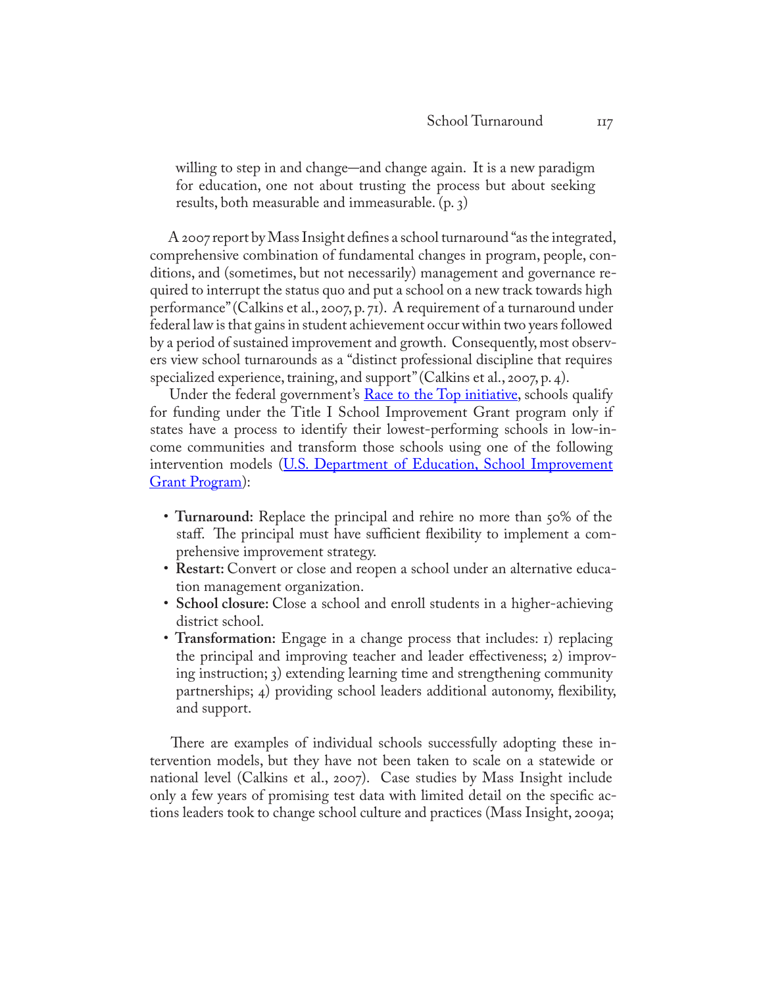willing to step in and change–and change again. It is a new paradigm for education, one not about trusting the process but about seeking results, both measurable and immeasurable. (p. 3)

A 2007 report by Mass Insight defines a school turnaround "as the integrated, comprehensive combination of fundamental changes in program, people, conditions, and (sometimes, but not necessarily) management and governance required to interrupt the status quo and put a school on a new track towards high performance" (Calkins et al., 2007, p. 71). A requirement of a turnaround under federal law is that gains in student achievement occur within two years followed by a period of sustained improvement and growth. Consequently, most observers view school turnarounds as a "distinct professional discipline that requires specialized experience, training, and support" (Calkins et al., 2007, p. 4).

Under the federal government's [Race to the Top initiative](http://www2.ed.gov/programs/racetothetop/index.html), schools qualify for funding under the Title I School Improvement Grant program only if states have a process to identify their lowest-performing schools in low-income communities and transform those schools using one of the following intervention models (U.S. Department of Education, School Improvement [Grant Program](http://www2.ed.gov/programs/sif/index.html)):

- **Turnaround:** Replace the principal and rehire no more than 50% of the staff. The principal must have sufficient flexibility to implement a comprehensive improvement strategy.
- **Restart:** Convert or close and reopen a school under an alternative education management organization.
- **School closure:** Close a school and enroll students in a higher-achieving district school.
- **Transformation:** Engage in a change process that includes: 1) replacing the principal and improving teacher and leader effectiveness; 2) improving instruction; 3) extending learning time and strengthening community partnerships; 4) providing school leaders additional autonomy, flexibility, and support.

There are examples of individual schools successfully adopting these intervention models, but they have not been taken to scale on a statewide or national level (Calkins et al., 2007). Case studies by Mass Insight include only a few years of promising test data with limited detail on the specific actions leaders took to change school culture and practices (Mass Insight, 2009a;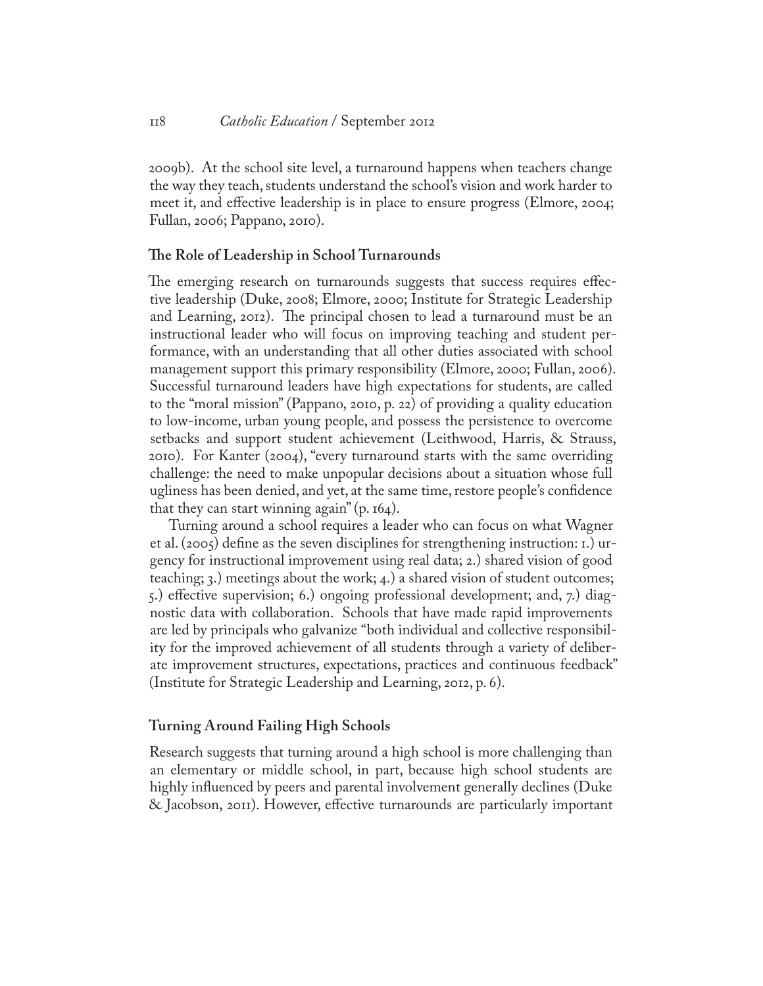2009b). At the school site level, a turnaround happens when teachers change the way they teach, students understand the school's vision and work harder to meet it, and effective leadership is in place to ensure progress (Elmore, 2004; Fullan, 2006; Pappano, 2010).

## **The Role of Leadership in School Turnarounds**

The emerging research on turnarounds suggests that success requires effective leadership (Duke, 2008; Elmore, 2000; Institute for Strategic Leadership and Learning, 2012). The principal chosen to lead a turnaround must be an instructional leader who will focus on improving teaching and student performance, with an understanding that all other duties associated with school management support this primary responsibility (Elmore, 2000; Fullan, 2006). Successful turnaround leaders have high expectations for students, are called to the "moral mission" (Pappano, 2010, p. 22) of providing a quality education to low-income, urban young people, and possess the persistence to overcome setbacks and support student achievement (Leithwood, Harris, & Strauss, 2010). For Kanter (2004), "every turnaround starts with the same overriding challenge: the need to make unpopular decisions about a situation whose full ugliness has been denied, and yet, at the same time, restore people's confidence that they can start winning again"  $(p. 164)$ .

Turning around a school requires a leader who can focus on what Wagner et al. (2005) define as the seven disciplines for strengthening instruction: 1.) urgency for instructional improvement using real data; 2.) shared vision of good teaching; 3.) meetings about the work; 4.) a shared vision of student outcomes; 5.) effective supervision; 6.) ongoing professional development; and, 7.) diagnostic data with collaboration. Schools that have made rapid improvements are led by principals who galvanize "both individual and collective responsibility for the improved achievement of all students through a variety of deliberate improvement structures, expectations, practices and continuous feedback" (Institute for Strategic Leadership and Learning, 2012, p. 6).

## **Turning Around Failing High Schools**

Research suggests that turning around a high school is more challenging than an elementary or middle school, in part, because high school students are highly influenced by peers and parental involvement generally declines (Duke & Jacobson, 2011). However, effective turnarounds are particularly important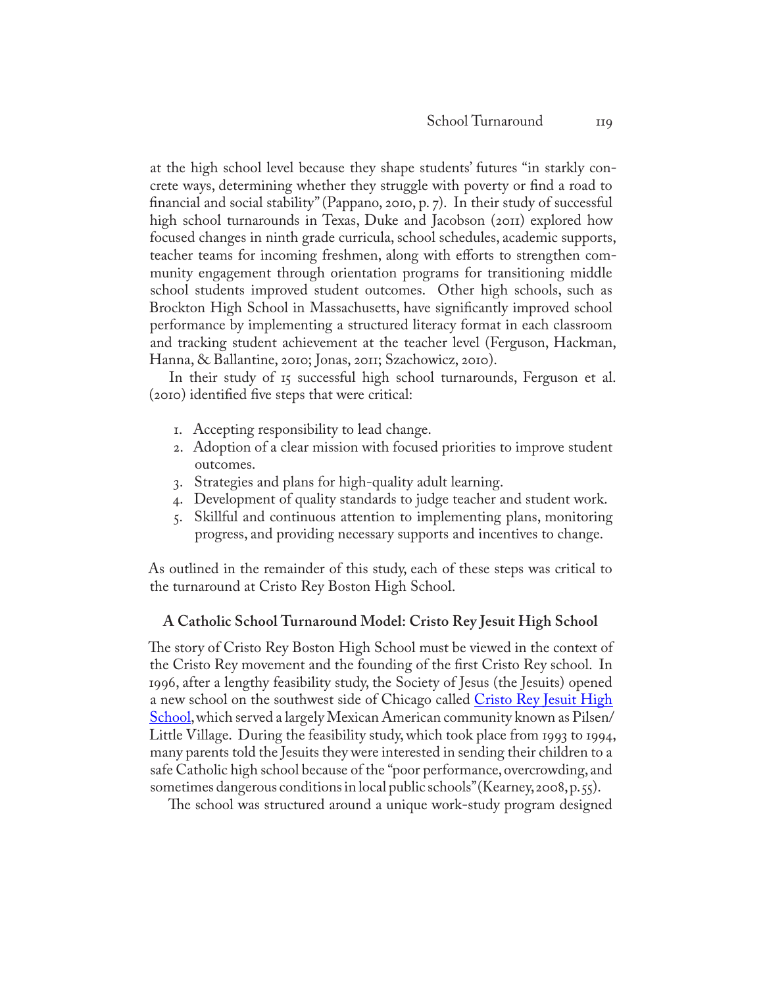at the high school level because they shape students' futures "in starkly concrete ways, determining whether they struggle with poverty or find a road to financial and social stability" (Pappano, 2010, p. 7). In their study of successful high school turnarounds in Texas, Duke and Jacobson (2011) explored how focused changes in ninth grade curricula, school schedules, academic supports, teacher teams for incoming freshmen, along with efforts to strengthen community engagement through orientation programs for transitioning middle school students improved student outcomes. Other high schools, such as Brockton High School in Massachusetts, have significantly improved school performance by implementing a structured literacy format in each classroom and tracking student achievement at the teacher level (Ferguson, Hackman, Hanna, & Ballantine, 2010; Jonas, 2011; Szachowicz, 2010).

In their study of 15 successful high school turnarounds, Ferguson et al. (2010) identified five steps that were critical:

- 1. Accepting responsibility to lead change.
- 2. Adoption of a clear mission with focused priorities to improve student outcomes.
- 3. Strategies and plans for high-quality adult learning.
- 4. Development of quality standards to judge teacher and student work.
- 5. Skillful and continuous attention to implementing plans, monitoring progress, and providing necessary supports and incentives to change.

As outlined in the remainder of this study, each of these steps was critical to the turnaround at Cristo Rey Boston High School.

#### **A Catholic School Turnaround Model: Cristo Rey Jesuit High School**

The story of Cristo Rey Boston High School must be viewed in the context of the Cristo Rey movement and the founding of the first Cristo Rey school. In 1996, after a lengthy feasibility study, the Society of Je[sus \(the Jesuits\) opened](http://www.cristorey.net/)  a new school on the southwest side of Chicago called Cristo Rey Jesuit High [School](http://www.cristorey.net/), which served a largely Mexican American community known as Pilsen/ Little Village. During the feasibility study, which took place from 1993 to 1994, many parents told the Jesuits they were interested in sending their children to a safe Catholic high school because of the "poor performance, overcrowding, and sometimes dangerous conditions in local public schools" (Kearney, 2008, p. 55).

The school was structured around a unique work-study program designed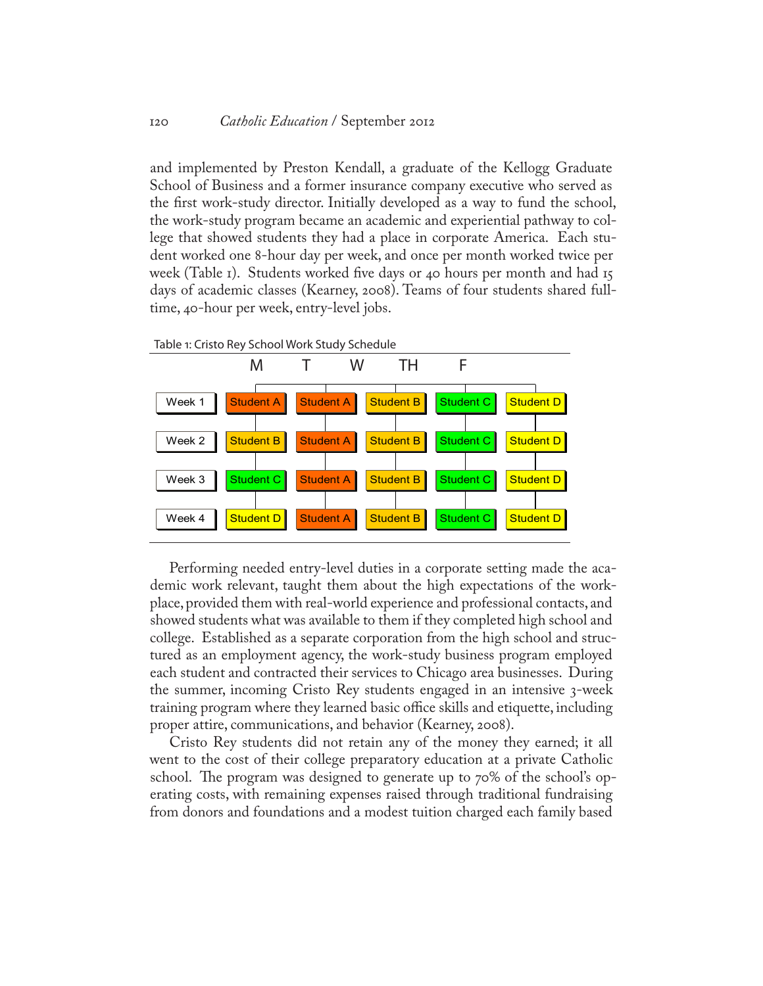and implemented by Preston Kendall, a graduate of the Kellogg Graduate School of Business and a former insurance company executive who served as the first work-study director. Initially developed as a way to fund the school, the work-study program became an academic and experiential pathway to college that showed students they had a place in corporate America. Each student worked one 8-hour day per week, and once per month worked twice per week (Table 1). Students worked five days or 40 hours per month and had 15 days of academic classes (Kearney, 2008). Teams of four students shared fulltime, 40-hour per week, entry-level jobs.



Performing needed entry-level duties in a corporate setting made the academic work relevant, taught them about the high expectations of the workplace, provided them with real-world experience and professional contacts, and showed students what was available to them if they completed high school and college. Established as a separate corporation from the high school and structured as an employment agency, the work-study business program employed each student and contracted their services to Chicago area businesses. During the summer, incoming Cristo Rey students engaged in an intensive 3-week training program where they learned basic office skills and etiquette, including proper attire, communications, and behavior (Kearney, 2008).

Cristo Rey students did not retain any of the money they earned; it all went to the cost of their college preparatory education at a private Catholic school. The program was designed to generate up to 70% of the school's operating costs, with remaining expenses raised through traditional fundraising from donors and foundations and a modest tuition charged each family based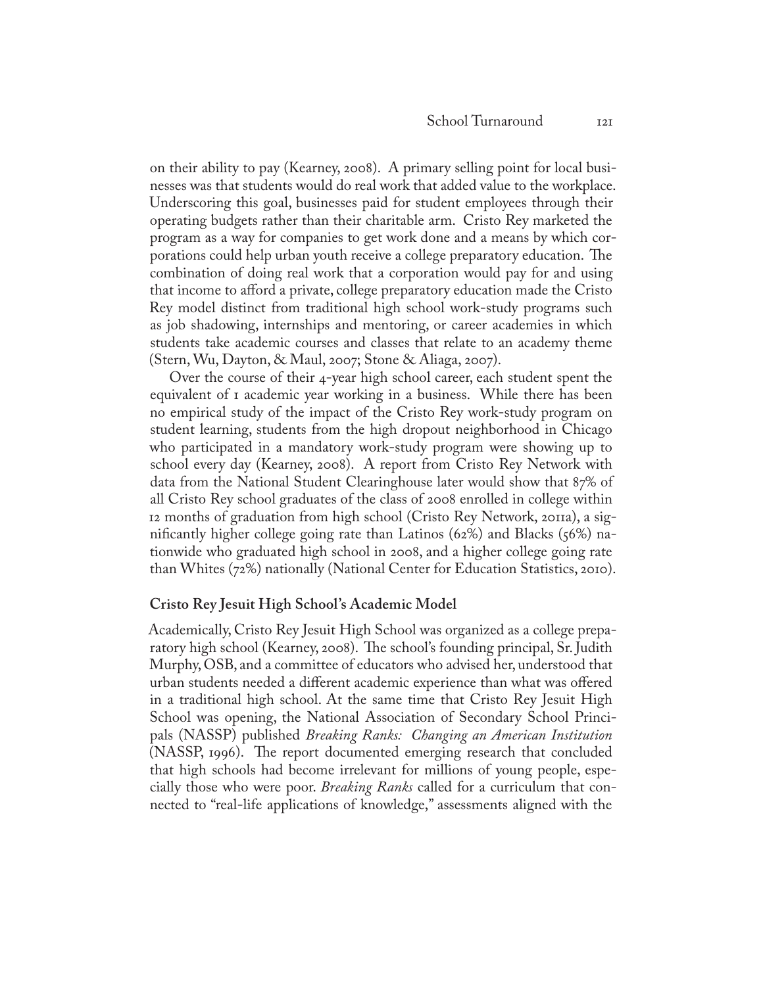on their ability to pay (Kearney, 2008). A primary selling point for local businesses was that students would do real work that added value to the workplace. Underscoring this goal, businesses paid for student employees through their operating budgets rather than their charitable arm. Cristo Rey marketed the program as a way for companies to get work done and a means by which corporations could help urban youth receive a college preparatory education. The combination of doing real work that a corporation would pay for and using that income to afford a private, college preparatory education made the Cristo Rey model distinct from traditional high school work-study programs such as job shadowing, internships and mentoring, or career academies in which students take academic courses and classes that relate to an academy theme (Stern, Wu, Dayton, & Maul, 2007; Stone & Aliaga, 2007).

Over the course of their 4-year high school career, each student spent the equivalent of 1 academic year working in a business. While there has been no empirical study of the impact of the Cristo Rey work-study program on student learning, students from the high dropout neighborhood in Chicago who participated in a mandatory work-study program were showing up to school every day (Kearney, 2008). A report from Cristo Rey Network with data from the National Student Clearinghouse later would show that 87% of all Cristo Rey school graduates of the class of 2008 enrolled in college within 12 months of graduation from high school (Cristo Rey Network, 2011a), a significantly higher college going rate than Latinos (62%) and Blacks (56%) nationwide who graduated high school in 2008, and a higher college going rate than Whites (72%) nationally (National Center for Education Statistics, 2010).

#### **Cristo Rey Jesuit High School's Academic Model**

Academically, Cristo Rey Jesuit High School was organized as a college preparatory high school (Kearney, 2008). The school's founding principal, Sr. Judith Murphy, OSB, and a committee of educators who advised her, understood that urban students needed a different academic experience than what was offered in a traditional high school. At the same time that Cristo Rey Jesuit High School was opening, the National Association of Secondary School Principals (NASSP) published *Breaking Ranks: Changing an American Institution* (NASSP, 1996). The report documented emerging research that concluded that high schools had become irrelevant for millions of young people, especially those who were poor. *Breaking Ranks* called for a curriculum that connected to "real-life applications of knowledge," assessments aligned with the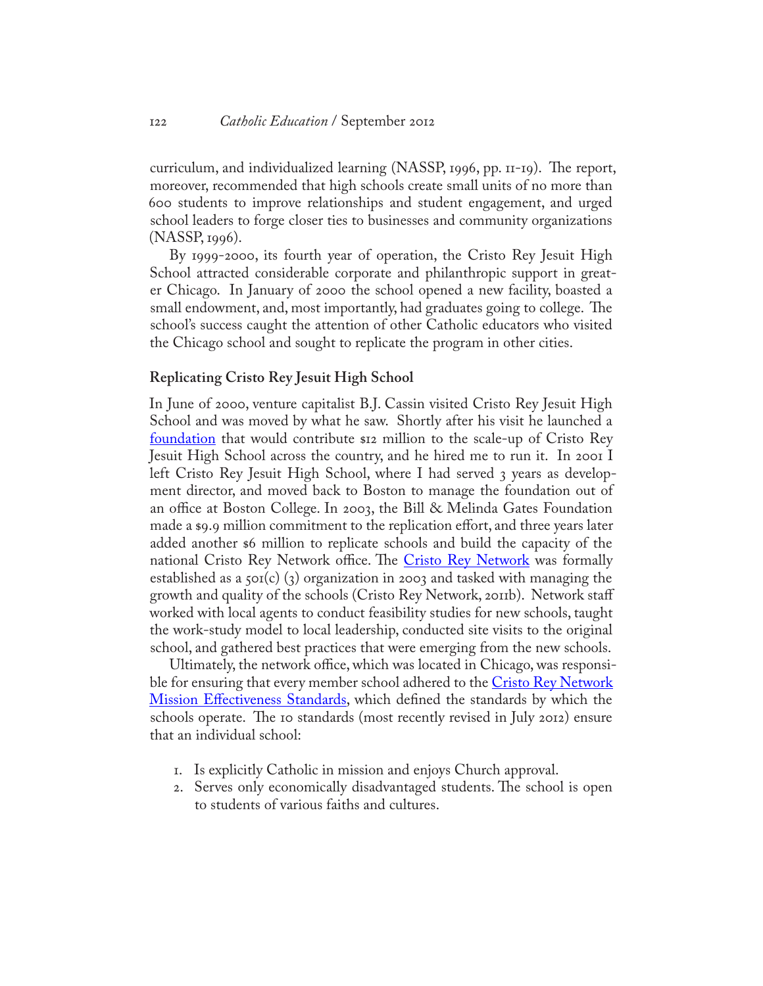curriculum, and individualized learning (NASSP, 1996, pp. 11-19). The report, moreover, recommended that high schools create small units of no more than 600 students to improve relationships and student engagement, and urged school leaders to forge closer ties to businesses and community organizations (NASSP, 1996).

By 1999-2000, its fourth year of operation, the Cristo Rey Jesuit High School attracted considerable corporate and philanthropic support in greater Chicago. In January of 2000 the school opened a new facility, boasted a small endowment, and, most importantly, had graduates going to college. The school's success caught the attention of other Catholic educators who visited the Chicago school and sought to replicate the program in other cities.

#### **Replicating Cristo Rey Jesuit High School**

In June of 2000, venture capitalist B.J. Cassin visited Cristo Rey Jesuit High School and was moved by what he saw. Shortly after his visit he launched a [foundation](http://www.cassinfoundation.org/) that would contribute \$12 million to the scale-up of Cristo Rey Jesuit High School across the country, and he hired me to run it. In 2001 I left Cristo Rey Jesuit High School, where I had served 3 years as development director, and moved back to Boston to manage the foundation out of an office at Boston College. In 2003, the Bill & Melinda Gates Foundation made a \$9.9 million commitment to the replication effort, and three years later added another \$6 million to replicate schools and build the capacity of the national [Cristo Rey Network](http://www.cristoreynetwork.org/) office. The Cristo Rey Network was formally established as a 501(c) (3) organization in 2003 and tasked with managing the growth and quality of the schools (Cristo Rey Network, 2011b). Network staff worked with local agents to conduct feasibility studies for new schools, taught the work-study model to local leadership, conducted site visits to the original school, and gathered best practices that were emerging from the new schools.

Ultimately, the network office, which was located in Chicago, was responsible for ensuring that every member school adhered to the Cristo Rey Network <u>[Mission Effectiveness Standards](http://www.cristoreyboston.org/images/stories/pdfs/mission effectiveness standards - fy13.pdf)</u>, which defined the standards by which the schools operate. The 10 standards (most recently revised in July 2012) ensure that an individual school:

- 1. Is explicitly Catholic in mission and enjoys Church approval.
- 2. Serves only economically disadvantaged students. The school is open to students of various faiths and cultures.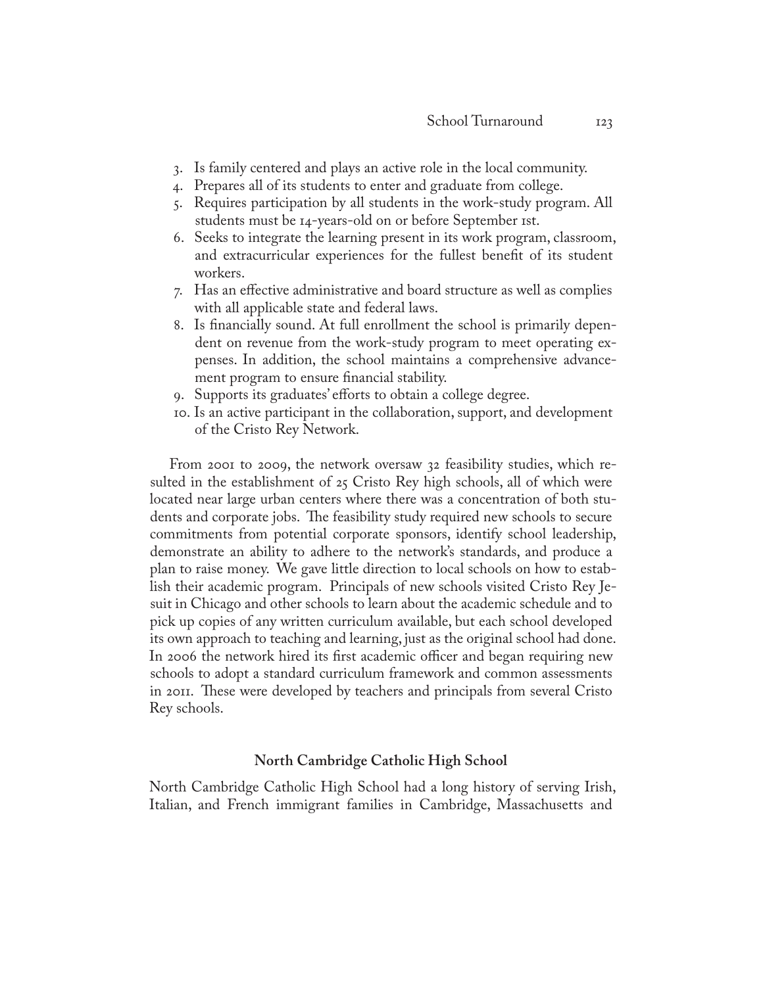- 3. Is family centered and plays an active role in the local community.
- 4. Prepares all of its students to enter and graduate from college.
- 5. Requires participation by all students in the work-study program. All students must be 14-years-old on or before September 1st.
- 6. Seeks to integrate the learning present in its work program, classroom, and extracurricular experiences for the fullest benefit of its student workers.
- 7. Has an effective administrative and board structure as well as complies with all applicable state and federal laws.
- 8. Is financially sound. At full enrollment the school is primarily dependent on revenue from the work-study program to meet operating expenses. In addition, the school maintains a comprehensive advancement program to ensure financial stability.
- 9. Supports its graduates' efforts to obtain a college degree.
- 10. Is an active participant in the collaboration, support, and development of the Cristo Rey Network.

From 2001 to 2009, the network oversaw 32 feasibility studies, which resulted in the establishment of 25 Cristo Rey high schools, all of which were located near large urban centers where there was a concentration of both students and corporate jobs. The feasibility study required new schools to secure commitments from potential corporate sponsors, identify school leadership, demonstrate an ability to adhere to the network's standards, and produce a plan to raise money. We gave little direction to local schools on how to establish their academic program. Principals of new schools visited Cristo Rey Jesuit in Chicago and other schools to learn about the academic schedule and to pick up copies of any written curriculum available, but each school developed its own approach to teaching and learning, just as the original school had done. In 2006 the network hired its first academic officer and began requiring new schools to adopt a standard curriculum framework and common assessments in 2011. These were developed by teachers and principals from several Cristo Rey schools.

## **North Cambridge Catholic High School**

North Cambridge Catholic High School had a long history of serving Irish, Italian, and French immigrant families in Cambridge, Massachusetts and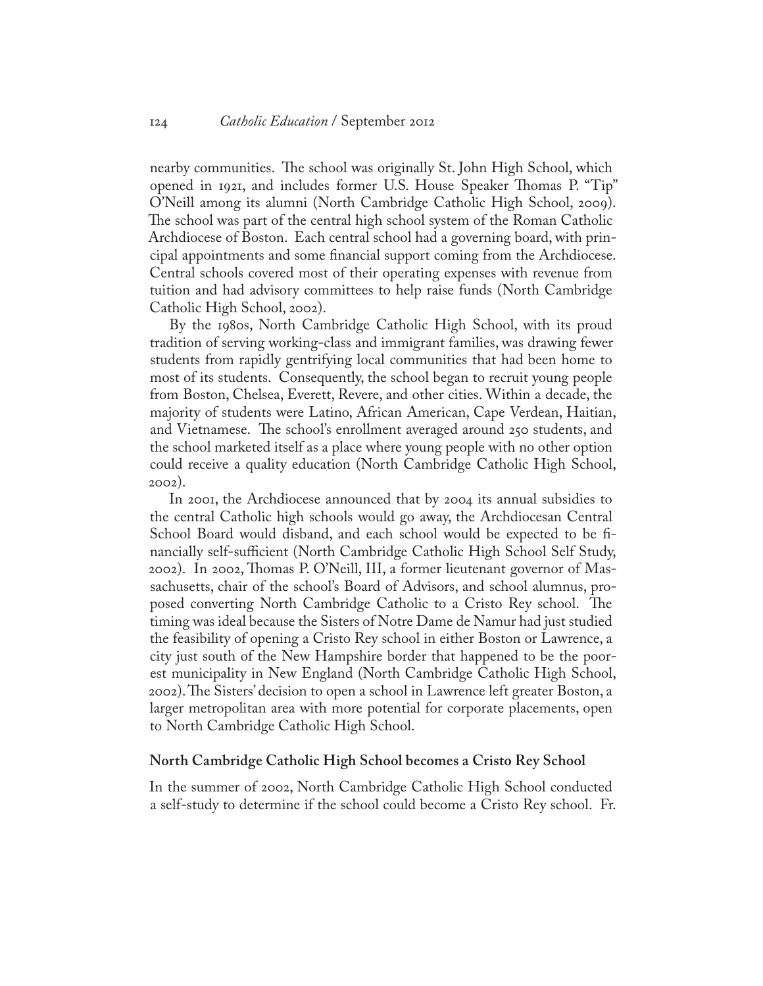nearby communities. The school was originally St. John High School, which opened in 1921, and includes former U.S. House Speaker Thomas P. "Tip" O'Neill among its alumni (North Cambridge Catholic High School, 2009). The school was part of the central high school system of the Roman Catholic Archdiocese of Boston. Each central school had a governing board, with principal appointments and some financial support coming from the Archdiocese. Central schools covered most of their operating expenses with revenue from tuition and had advisory committees to help raise funds (North Cambridge Catholic High School, 2002).

By the 1980s, North Cambridge Catholic High School, with its proud tradition of serving working-class and immigrant families, was drawing fewer students from rapidly gentrifying local communities that had been home to most of its students. Consequently, the school began to recruit young people from Boston, Chelsea, Everett, Revere, and other cities. Within a decade, the majority of students were Latino, African American, Cape Verdean, Haitian, and Vietnamese. The school's enrollment averaged around 250 students, and the school marketed itself as a place where young people with no other option could receive a quality education (North Cambridge Catholic High School, 2002).

In 2001, the Archdiocese announced that by 2004 its annual subsidies to the central Catholic high schools would go away, the Archdiocesan Central School Board would disband, and each school would be expected to be financially self-sufficient (North Cambridge Catholic High School Self Study, 2002). In 2002, Thomas P. O'Neill, III, a former lieutenant governor of Massachusetts, chair of the school's Board of Advisors, and school alumnus, proposed converting North Cambridge Catholic to a Cristo Rey school. The timing was ideal because the Sisters of Notre Dame de Namur had just studied the feasibility of opening a Cristo Rey school in either Boston or Lawrence, a city just south of the New Hampshire border that happened to be the poorest municipality in New England (North Cambridge Catholic High School, 2002). The Sisters' decision to open a school in Lawrence left greater Boston, a larger metropolitan area with more potential for corporate placements, open to North Cambridge Catholic High School.

#### **North Cambridge Catholic High School becomes a Cristo Rey School**

In the summer of 2002, North Cambridge Catholic High School conducted a self-study to determine if the school could become a Cristo Rey school. Fr.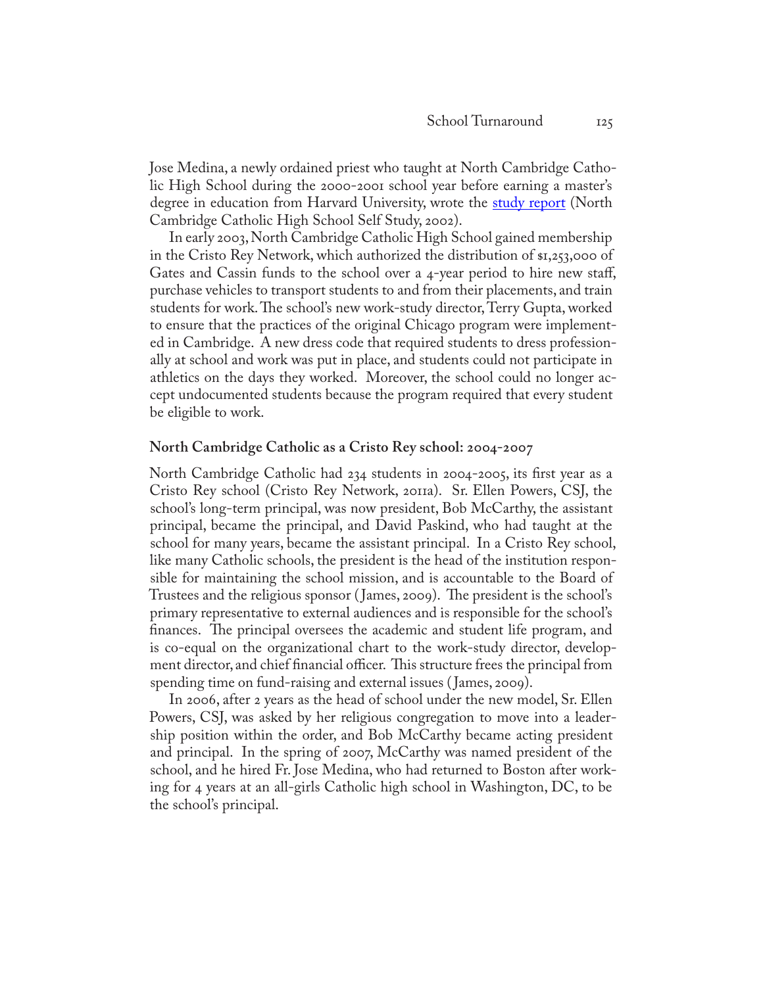Jose Medina, a newly ordained priest who taught at North Cambridge Catholic High School during the 2000-2001 school year before earning a master's degree in education from Harvard University, wrote the [study report](http://www.cristoreyboston.org/images/stories/pdfs/feasibilitystudy.pdf) (North Cambridge Catholic High School Self Study, 2002).

In early 2003, North Cambridge Catholic High School gained membership in the Cristo Rey Network, which authorized the distribution of \$1,253,000 of Gates and Cassin funds to the school over a 4-year period to hire new staff, purchase vehicles to transport students to and from their placements, and train students for work. The school's new work-study director, Terry Gupta, worked to ensure that the practices of the original Chicago program were implemented in Cambridge. A new dress code that required students to dress professionally at school and work was put in place, and students could not participate in athletics on the days they worked. Moreover, the school could no longer accept undocumented students because the program required that every student be eligible to work.

#### **North Cambridge Catholic as a Cristo Rey school: 2004-2007**

North Cambridge Catholic had 234 students in 2004-2005, its first year as a Cristo Rey school (Cristo Rey Network, 2011a). Sr. Ellen Powers, CSJ, the school's long-term principal, was now president, Bob McCarthy, the assistant principal, became the principal, and David Paskind, who had taught at the school for many years, became the assistant principal. In a Cristo Rey school, like many Catholic schools, the president is the head of the institution responsible for maintaining the school mission, and is accountable to the Board of Trustees and the religious sponsor ( James, 2009). The president is the school's primary representative to external audiences and is responsible for the school's finances. The principal oversees the academic and student life program, and is co-equal on the organizational chart to the work-study director, development director, and chief financial officer. This structure frees the principal from spending time on fund-raising and external issues ( James, 2009).

In 2006, after 2 years as the head of school under the new model, Sr. Ellen Powers, CSJ, was asked by her religious congregation to move into a leadership position within the order, and Bob McCarthy became acting president and principal. In the spring of 2007, McCarthy was named president of the school, and he hired Fr. Jose Medina, who had returned to Boston after working for 4 years at an all-girls Catholic high school in Washington, DC, to be the school's principal.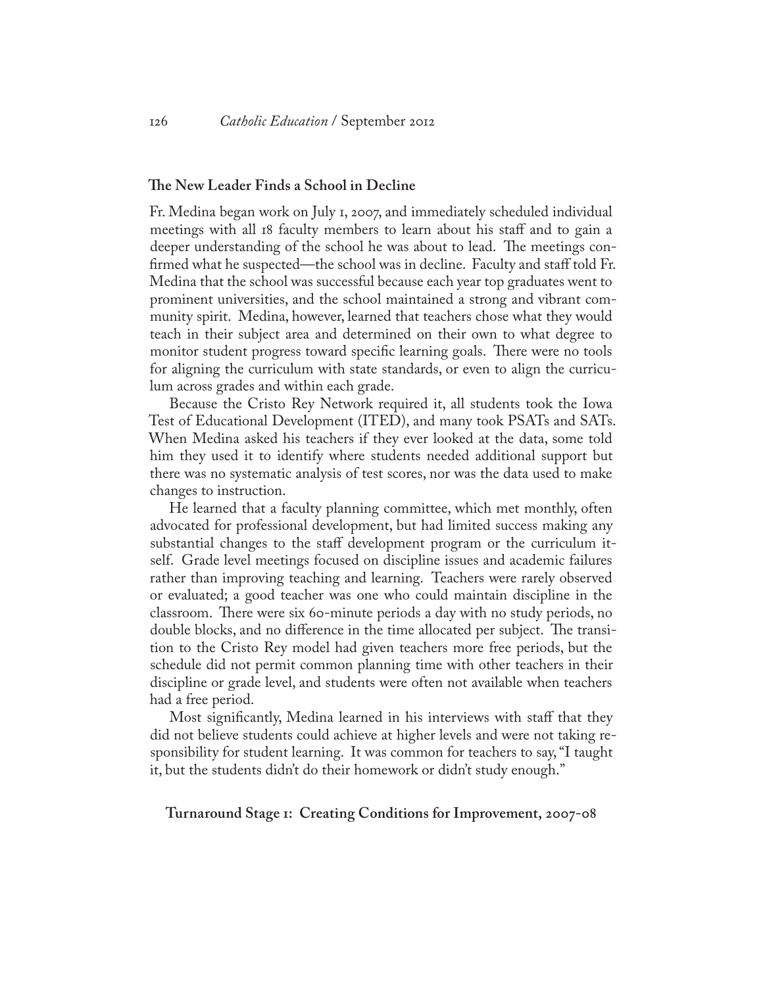## **The New Leader Finds a School in Decline**

Fr. Medina began work on July 1, 2007, and immediately scheduled individual meetings with all 18 faculty members to learn about his staff and to gain a deeper understanding of the school he was about to lead. The meetings confirmed what he suspected—the school was in decline. Faculty and staff told Fr. Medina that the school was successful because each year top graduates went to prominent universities, and the school maintained a strong and vibrant community spirit. Medina, however, learned that teachers chose what they would teach in their subject area and determined on their own to what degree to monitor student progress toward specific learning goals. There were no tools for aligning the curriculum with state standards, or even to align the curriculum across grades and within each grade.

Because the Cristo Rey Network required it, all students took the Iowa Test of Educational Development (ITED), and many took PSATs and SATs. When Medina asked his teachers if they ever looked at the data, some told him they used it to identify where students needed additional support but there was no systematic analysis of test scores, nor was the data used to make changes to instruction.

He learned that a faculty planning committee, which met monthly, often advocated for professional development, but had limited success making any substantial changes to the staff development program or the curriculum itself. Grade level meetings focused on discipline issues and academic failures rather than improving teaching and learning. Teachers were rarely observed or evaluated; a good teacher was one who could maintain discipline in the classroom. There were six 60-minute periods a day with no study periods, no double blocks, and no difference in the time allocated per subject. The transition to the Cristo Rey model had given teachers more free periods, but the schedule did not permit common planning time with other teachers in their discipline or grade level, and students were often not available when teachers had a free period.

Most significantly, Medina learned in his interviews with staff that they did not believe students could achieve at higher levels and were not taking responsibility for student learning. It was common for teachers to say, "I taught it, but the students didn't do their homework or didn't study enough."

**Turnaround Stage 1: Creating Conditions for Improvement, 2007-08**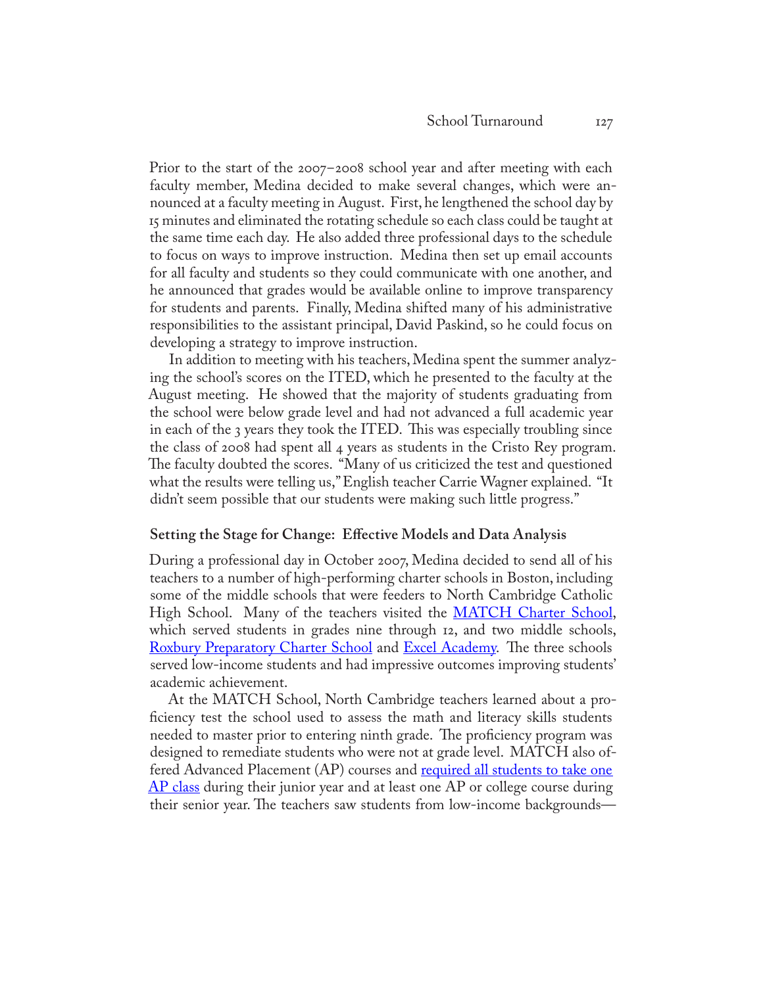Prior to the start of the 2007-2008 school year and after meeting with each faculty member, Medina decided to make several changes, which were announced at a faculty meeting in August. First, he lengthened the school day by 15 minutes and eliminated the rotating schedule so each class could be taught at the same time each day. He also added three professional days to the schedule to focus on ways to improve instruction. Medina then set up email accounts for all faculty and students so they could communicate with one another, and he announced that grades would be available online to improve transparency for students and parents. Finally, Medina shifted many of his administrative responsibilities to the assistant principal, David Paskind, so he could focus on developing a strategy to improve instruction.

In addition to meeting with his teachers, Medina spent the summer analyzing the school's scores on the ITED, which he presented to the faculty at the August meeting. He showed that the majority of students graduating from the school were below grade level and had not advanced a full academic year in each of the 3 years they took the ITED. This was especially troubling since the class of 2008 had spent all 4 years as students in the Cristo Rey program. The faculty doubted the scores. "Many of us criticized the test and questioned what the results were telling us," English teacher Carrie Wagner explained. "It didn't seem possible that our students were making such little progress."

## **Setting the Stage for Change: Effective Models and Data Analysis**

During a professional day in October 2007, Medina decided to send all of his teachers to a number of high-performing charter schools in Boston, including some of the middle schools that were feeders to North Cambridge Catholic High School. Many of the teachers visited the **MATCH Charter School**, which served students in grades nine through 12, and two middle schools, [Roxbury Preparatory Charter School](http://roxburyprep.uncommonschools.org/) and [Excel Academy](http://www.excelacademy.org). The three schools served low-income students and had impressive outcomes improving students' academic achievement.

At the MATCH School, North Cambridge teachers learned about a proficiency test the school used to assess the math and literacy skills students needed to master prior to entering ninth grade. The proficiency program was designed to remediate students who were not at grade level. MATCH also offered Advanced Placement (AP) courses and **<u>required all students to take one</u>**  $AP$  class during their junior year and at least one AP or college course during their senior year. The teachers saw students from low-income backgrounds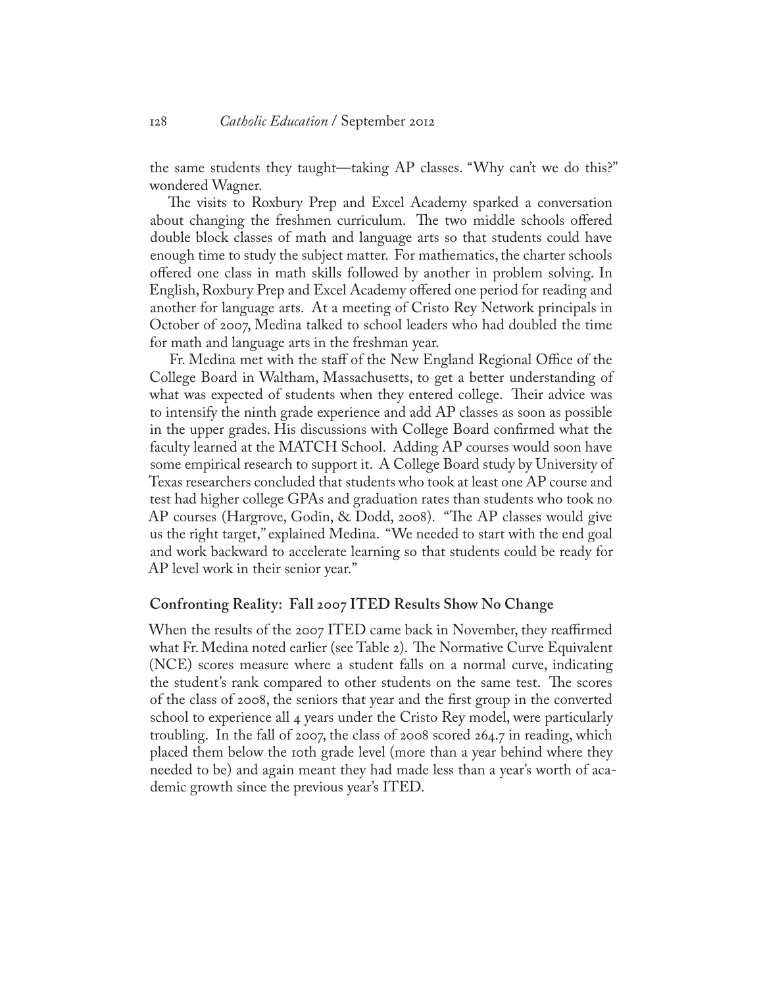the same students they taught—taking AP classes. "Why can't we do this?" wondered Wagner.

The visits to Roxbury Prep and Excel Academy sparked a conversation about changing the freshmen curriculum. The two middle schools offered double block classes of math and language arts so that students could have enough time to study the subject matter. For mathematics, the charter schools offered one class in math skills followed by another in problem solving. In English, Roxbury Prep and Excel Academy offered one period for reading and another for language arts. At a meeting of Cristo Rey Network principals in October of 2007, Medina talked to school leaders who had doubled the time for math and language arts in the freshman year.

Fr. Medina met with the staff of the New England Regional Office of the College Board in Waltham, Massachusetts, to get a better understanding of what was expected of students when they entered college. Their advice was to intensify the ninth grade experience and add AP classes as soon as possible in the upper grades. His discussions with College Board confirmed what the faculty learned at the MATCH School. Adding AP courses would soon have some empirical research to support it. A College Board study by University of Texas researchers concluded that students who took at least one AP course and test had higher college GPAs and graduation rates than students who took no AP courses (Hargrove, Godin, & Dodd, 2008). "The AP classes would give us the right target," explained Medina. "We needed to start with the end goal and work backward to accelerate learning so that students could be ready for AP level work in their senior year."

#### **Confronting Reality: Fall 2007 ITED Results Show No Change**

When the results of the 2007 ITED came back in November, they reaffirmed what Fr. Medina noted earlier (see Table 2). The Normative Curve Equivalent (NCE) scores measure where a student falls on a normal curve, indicating the student's rank compared to other students on the same test. The scores of the class of 2008, the seniors that year and the first group in the converted school to experience all 4 years under the Cristo Rey model, were particularly troubling. In the fall of 2007, the class of 2008 scored 264.7 in reading, which placed them below the 10th grade level (more than a year behind where they needed to be) and again meant they had made less than a year's worth of academic growth since the previous year's ITED.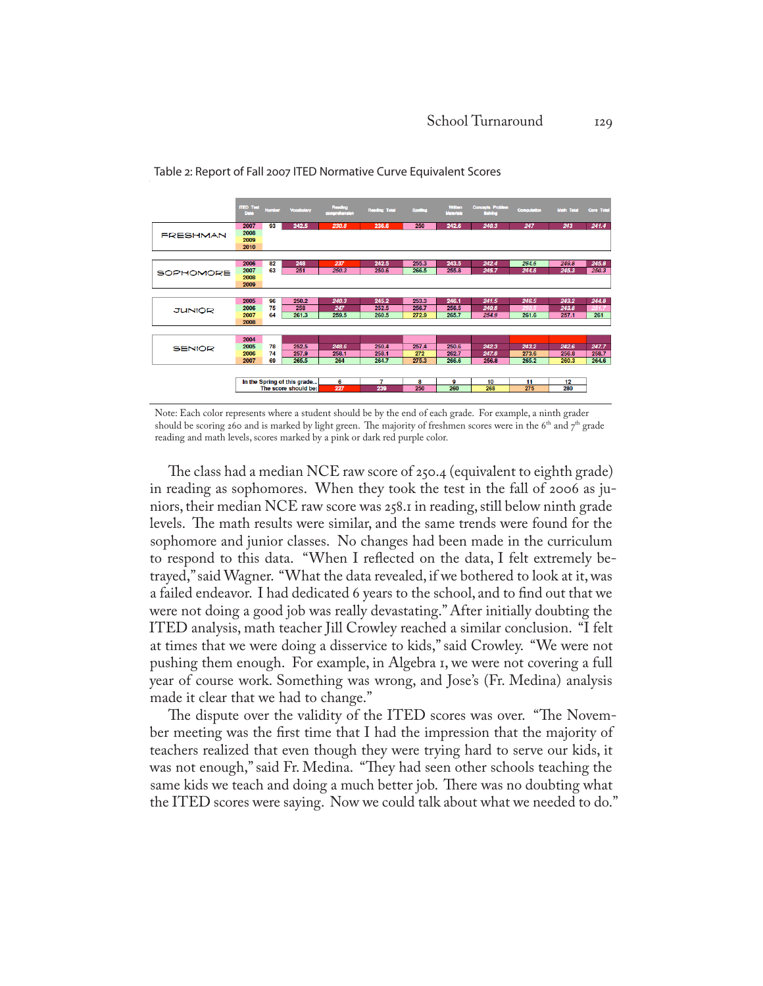

Table 2: Report of Fall 2007 ITED Normative Curve Equivalent Scores

Note: Each color represents where a student should be by the end of each grade. For example, a ninth grader should be scoring 260 and is marked by light green. The majority of freshmen scores were in the 6<sup>th</sup> and 7<sup>th</sup> grade reading and math levels, scores marked by a pink or dark red purple color.

The class had a median NCE raw score of 250.4 (equivalent to eighth grade) in reading as sophomores. When they took the test in the fall of 2006 as juniors, their median NCE raw score was 258.1 in reading, still below ninth grade levels. The math results were similar, and the same trends were found for the sophomore and junior classes. No changes had been made in the curriculum to respond to this data. "When I reflected on the data, I felt extremely betrayed," said Wagner. "What the data revealed, if we bothered to look at it, was a failed endeavor. I had dedicated 6 years to the school, and to find out that we were not doing a good job was really devastating." After initially doubting the ITED analysis, math teacher Jill Crowley reached a similar conclusion. "I felt at times that we were doing a disservice to kids," said Crowley. "We were not pushing them enough. For example, in Algebra 1, we were not covering a full year of course work. Something was wrong, and Jose's (Fr. Medina) analysis made it clear that we had to change."

The dispute over the validity of the ITED scores was over. "The November meeting was the first time that I had the impression that the majority of teachers realized that even though they were trying hard to serve our kids, it was not enough," said Fr. Medina. "They had seen other schools teaching the same kids we teach and doing a much better job. There was no doubting what the ITED scores were saying. Now we could talk about what we needed to do."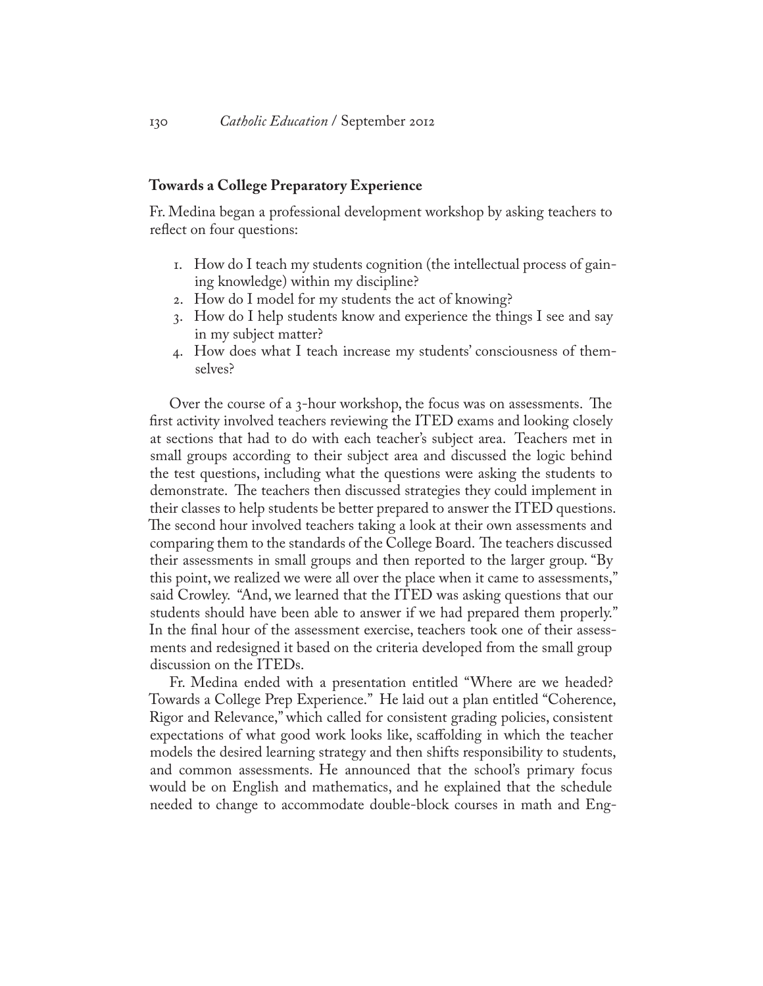## **Towards a College Preparatory Experience**

Fr. Medina began a professional development workshop by asking teachers to reflect on four questions:

- 1. How do I teach my students cognition (the intellectual process of gaining knowledge) within my discipline?
- 2. How do I model for my students the act of knowing?
- 3. How do I help students know and experience the things I see and say in my subject matter?
- 4. How does what I teach increase my students' consciousness of themselves?

Over the course of a 3-hour workshop, the focus was on assessments. The first activity involved teachers reviewing the ITED exams and looking closely at sections that had to do with each teacher's subject area. Teachers met in small groups according to their subject area and discussed the logic behind the test questions, including what the questions were asking the students to demonstrate. The teachers then discussed strategies they could implement in their classes to help students be better prepared to answer the ITED questions. The second hour involved teachers taking a look at their own assessments and comparing them to the standards of the College Board. The teachers discussed their assessments in small groups and then reported to the larger group. "By this point, we realized we were all over the place when it came to assessments," said Crowley. "And, we learned that the ITED was asking questions that our students should have been able to answer if we had prepared them properly." In the final hour of the assessment exercise, teachers took one of their assessments and redesigned it based on the criteria developed from the small group discussion on the ITEDs.

Fr. Medina ended with a presentation entitled "Where are we headed? Towards a College Prep Experience." He laid out a plan entitled "Coherence, Rigor and Relevance," which called for consistent grading policies, consistent expectations of what good work looks like, scaffolding in which the teacher models the desired learning strategy and then shifts responsibility to students, and common assessments. He announced that the school's primary focus would be on English and mathematics, and he explained that the schedule needed to change to accommodate double-block courses in math and Eng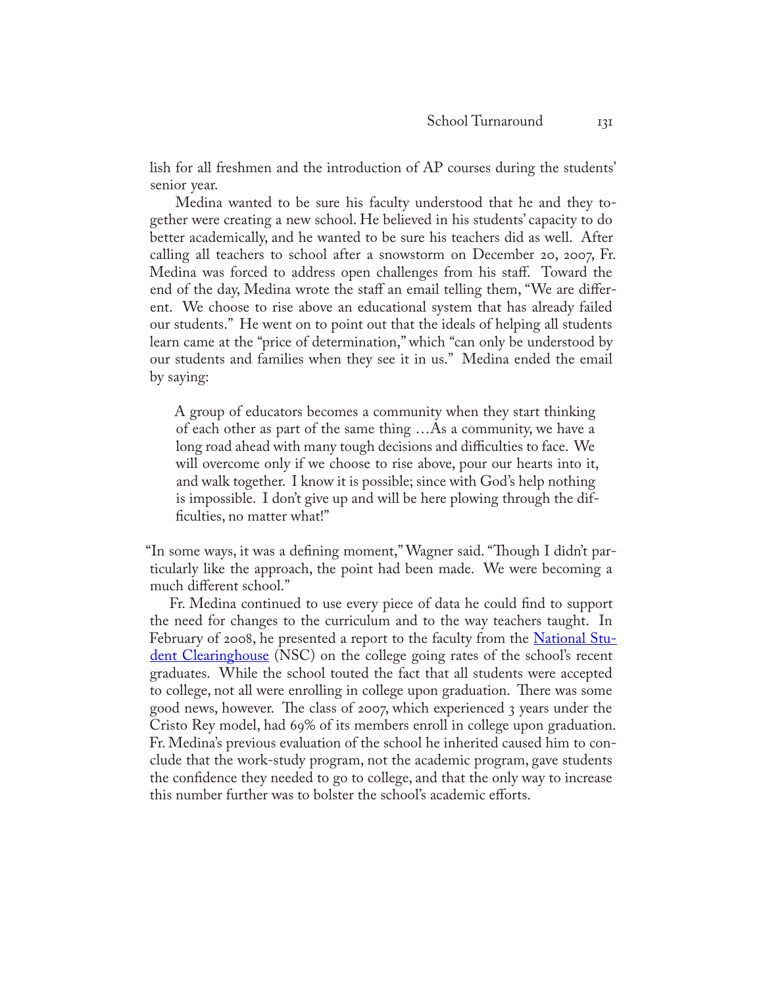lish for all freshmen and the introduction of AP courses during the students' senior year.

 Medina wanted to be sure his faculty understood that he and they together were creating a new school. He believed in his students' capacity to do better academically, and he wanted to be sure his teachers did as well. After calling all teachers to school after a snowstorm on December 20, 2007, Fr. Medina was forced to address open challenges from his staff. Toward the end of the day, Medina wrote the staff an email telling them, "We are different. We choose to rise above an educational system that has already failed our students." He went on to point out that the ideals of helping all students learn came at the "price of determination," which "can only be understood by our students and families when they see it in us." Medina ended the email by saying:

A group of educators becomes a community when they start thinking of each other as part of the same thing …As a community, we have a long road ahead with many tough decisions and difficulties to face. We will overcome only if we choose to rise above, pour our hearts into it, and walk together. I know it is possible; since with God's help nothing is impossible. I don't give up and will be here plowing through the difficulties, no matter what!"

"In some ways, it was a defining moment," Wagner said. "Though I didn't particularly like the approach, the point had been made. We were becoming a much different school."

Fr. Medina continued to use every piece of data he could find to support the need for changes to the curriculum and to the way teachers taught. In February of 2008, he presented a report to the faculty from the **[National Stu](http://www.studentclearinghouse.org)**[dent Clearinghouse](http://www.studentclearinghouse.org) (NSC) on the college going rates of the school's recent graduates. While the school touted the fact that all students were accepted to college, not all were enrolling in college upon graduation. There was some good news, however. The class of 2007, which experienced 3 years under the Cristo Rey model, had 69% of its members enroll in college upon graduation. Fr. Medina's previous evaluation of the school he inherited caused him to conclude that the work-study program, not the academic program, gave students the confidence they needed to go to college, and that the only way to increase this number further was to bolster the school's academic efforts.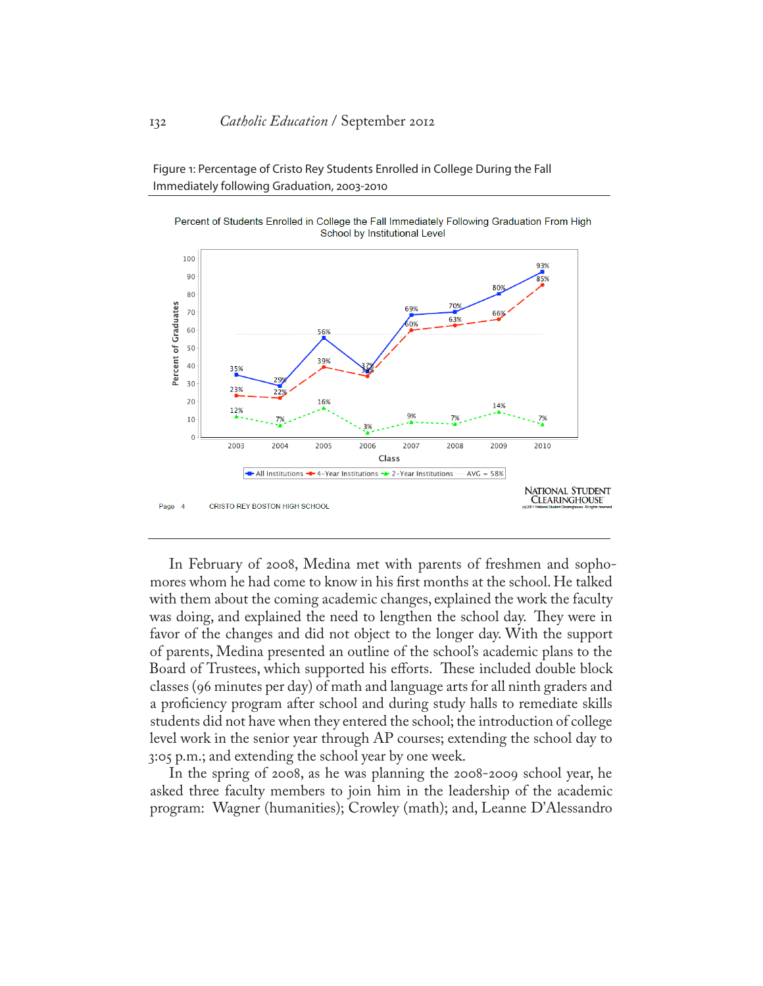Figure 1: Percentage of Cristo Rey Students Enrolled in College During the Fall Immediately following Graduation, 2003-2010





In February of 2008, Medina met with parents of freshmen and sophomores whom he had come to know in his first months at the school. He talked with them about the coming academic changes, explained the work the faculty was doing, and explained the need to lengthen the school day. They were in favor of the changes and did not object to the longer day. With the support of parents, Medina presented an outline of the school's academic plans to the Board of Trustees, which supported his efforts. These included double block classes (96 minutes per day) of math and language arts for all ninth graders and a proficiency program after school and during study halls to remediate skills students did not have when they entered the school; the introduction of college level work in the senior year through AP courses; extending the school day to 3:05 p.m.; and extending the school year by one week.

In the spring of 2008, as he was planning the 2008-2009 school year, he asked three faculty members to join him in the leadership of the academic program: Wagner (humanities); Crowley (math); and, Leanne D'Alessandro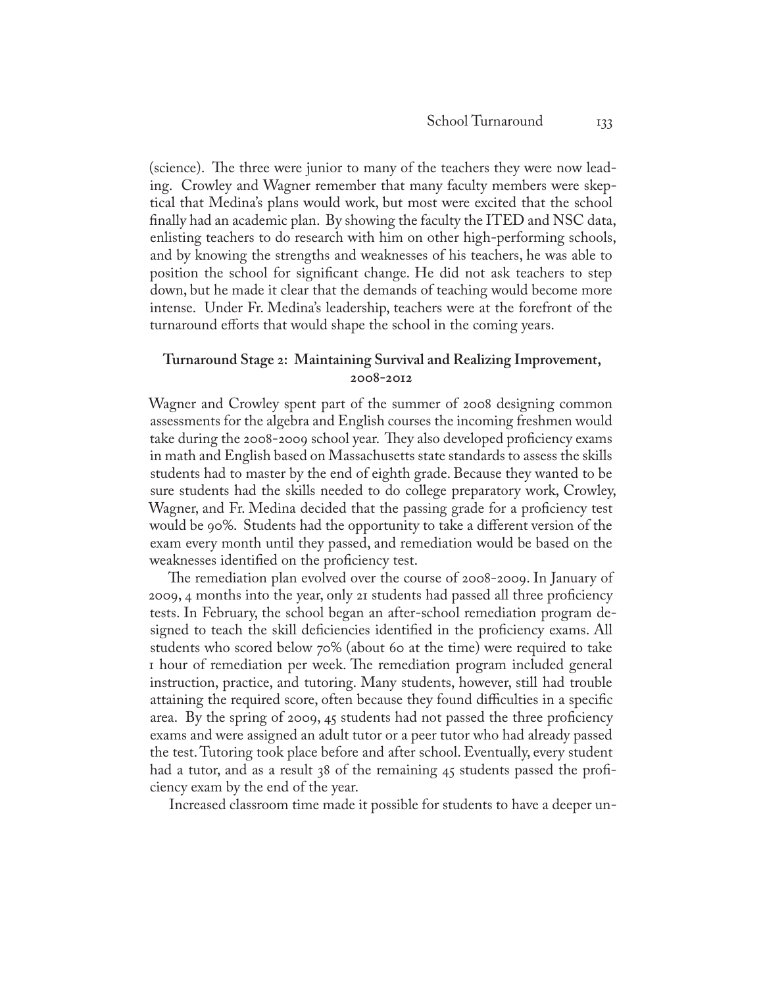(science). The three were junior to many of the teachers they were now leading. Crowley and Wagner remember that many faculty members were skeptical that Medina's plans would work, but most were excited that the school finally had an academic plan. By showing the faculty the ITED and NSC data, enlisting teachers to do research with him on other high-performing schools, and by knowing the strengths and weaknesses of his teachers, he was able to position the school for significant change. He did not ask teachers to step down, but he made it clear that the demands of teaching would become more intense. Under Fr. Medina's leadership, teachers were at the forefront of the turnaround efforts that would shape the school in the coming years.

## **Turnaround Stage 2: Maintaining Survival and Realizing Improvement, 2008-2012**

Wagner and Crowley spent part of the summer of 2008 designing common assessments for the algebra and English courses the incoming freshmen would take during the 2008-2009 school year. They also developed proficiency exams in math and English based on Massachusetts state standards to assess the skills students had to master by the end of eighth grade. Because they wanted to be sure students had the skills needed to do college preparatory work, Crowley, Wagner, and Fr. Medina decided that the passing grade for a proficiency test would be 90%. Students had the opportunity to take a different version of the exam every month until they passed, and remediation would be based on the weaknesses identified on the proficiency test.

The remediation plan evolved over the course of 2008-2009. In January of 2009, 4 months into the year, only 21 students had passed all three proficiency tests. In February, the school began an after-school remediation program designed to teach the skill deficiencies identified in the proficiency exams. All students who scored below 70% (about 60 at the time) were required to take 1 hour of remediation per week. The remediation program included general instruction, practice, and tutoring. Many students, however, still had trouble attaining the required score, often because they found difficulties in a specific area. By the spring of 2009, 45 students had not passed the three proficiency exams and were assigned an adult tutor or a peer tutor who had already passed the test. Tutoring took place before and after school. Eventually, every student had a tutor, and as a result 38 of the remaining 45 students passed the proficiency exam by the end of the year.

Increased classroom time made it possible for students to have a deeper un-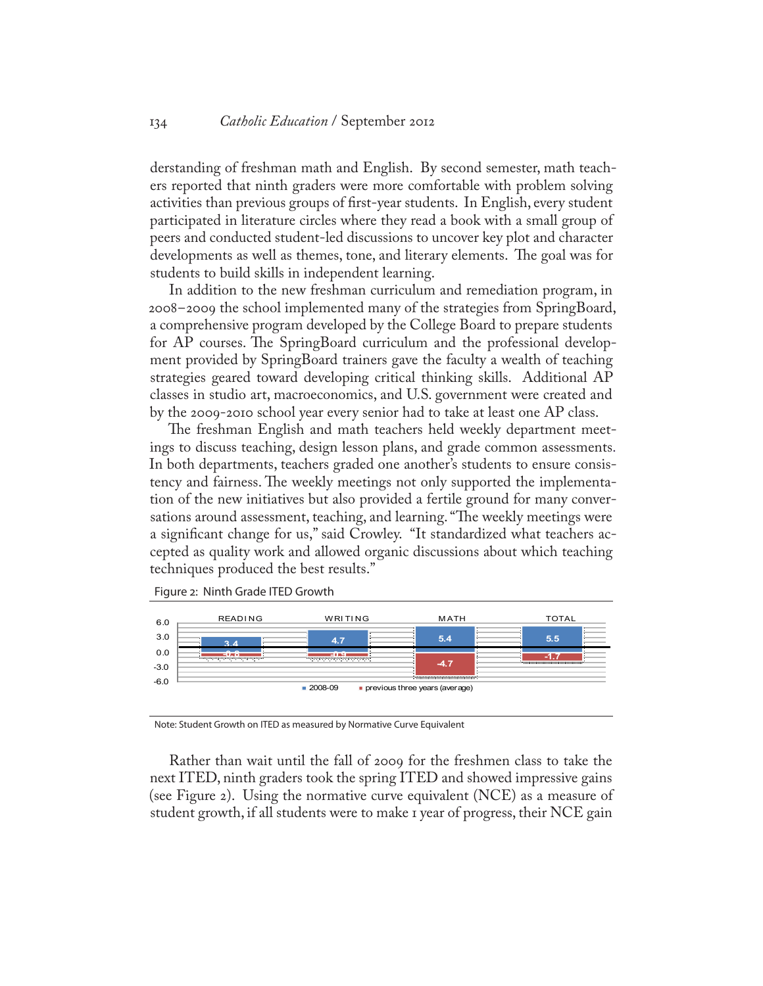derstanding of freshman math and English. By second semester, math teachers reported that ninth graders were more comfortable with problem solving activities than previous groups of first-year students. In English, every student participated in literature circles where they read a book with a small group of peers and conducted student-led discussions to uncover key plot and character developments as well as themes, tone, and literary elements. The goal was for students to build skills in independent learning.

In addition to the new freshman curriculum and remediation program, in 2008-2009 the school implemented many of the strategies from SpringBoard, a comprehensive program developed by the College Board to prepare students for AP courses. The SpringBoard curriculum and the professional development provided by SpringBoard trainers gave the faculty a wealth of teaching strategies geared toward developing critical thinking skills. Additional AP classes in studio art, macroeconomics, and U.S. government were created and by the 2009-2010 school year every senior had to take at least one AP class.

The freshman English and math teachers held weekly department meetings to discuss teaching, design lesson plans, and grade common assessments. In both departments, teachers graded one another's students to ensure consistency and fairness. The weekly meetings not only supported the implementation of the new initiatives but also provided a fertile ground for many conversations around assessment, teaching, and learning. "The weekly meetings were a significant change for us," said Crowley. "It standardized what teachers accepted as quality work and allowed organic discussions about which teaching techniques produced the best results."

Figure 2: Ninth Grade ITED Growth



Note: Student Growth on ITED as measured by Normative Curve Equivalent

Rather than wait until the fall of 2009 for the freshmen class to take the next ITED, ninth graders took the spring ITED and showed impressive gains (see Figure 2). Using the normative curve equivalent (NCE) as a measure of student growth, if all students were to make 1 year of progress, their NCE gain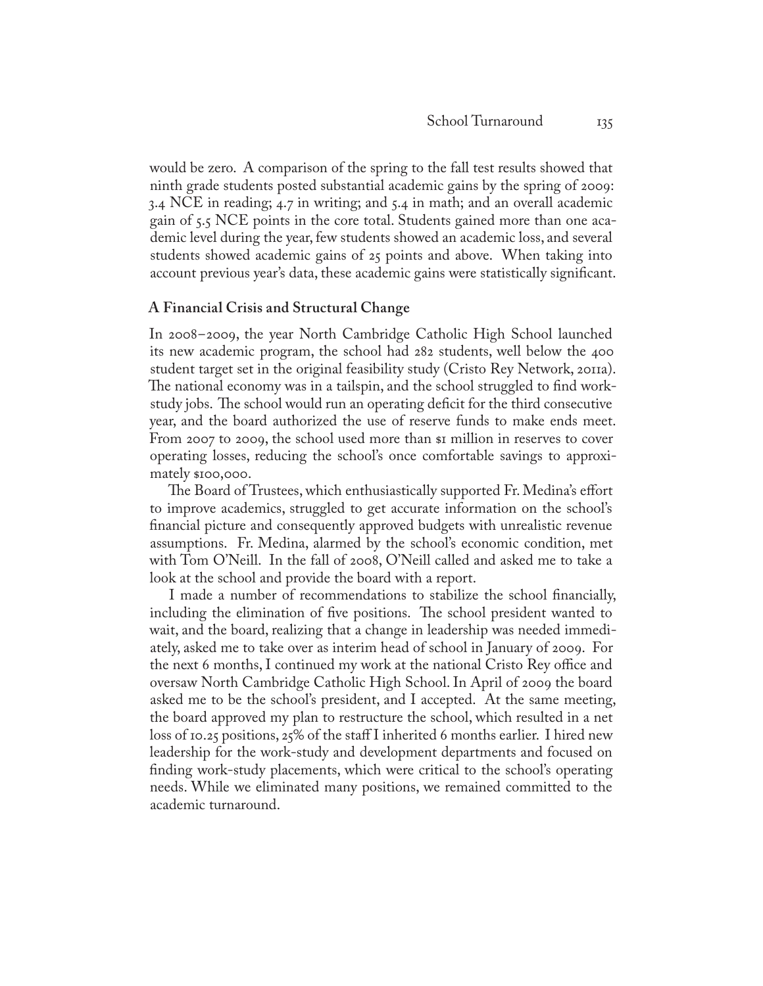would be zero. A comparison of the spring to the fall test results showed that ninth grade students posted substantial academic gains by the spring of 2009: 3.4 NCE in reading; 4.7 in writing; and 5.4 in math; and an overall academic gain of 5.5 NCE points in the core total. Students gained more than one academic level during the year, few students showed an academic loss, and several students showed academic gains of 25 points and above. When taking into account previous year's data, these academic gains were statistically significant.

## **A Financial Crisis and Structural Change**

In 2008-2009, the year North Cambridge Catholic High School launched its new academic program, the school had 282 students, well below the 400 student target set in the original feasibility study (Cristo Rey Network, 2011a). The national economy was in a tailspin, and the school struggled to find workstudy jobs. The school would run an operating deficit for the third consecutive year, and the board authorized the use of reserve funds to make ends meet. From 2007 to 2009, the school used more than  $\sin$  million in reserves to cover operating losses, reducing the school's once comfortable savings to approximately \$100,000.

The Board of Trustees, which enthusiastically supported Fr. Medina's effort to improve academics, struggled to get accurate information on the school's financial picture and consequently approved budgets with unrealistic revenue assumptions. Fr. Medina, alarmed by the school's economic condition, met with Tom O'Neill. In the fall of 2008, O'Neill called and asked me to take a look at the school and provide the board with a report.

I made a number of recommendations to stabilize the school financially, including the elimination of five positions. The school president wanted to wait, and the board, realizing that a change in leadership was needed immediately, asked me to take over as interim head of school in January of 2009. For the next 6 months, I continued my work at the national Cristo Rey office and oversaw North Cambridge Catholic High School. In April of 2009 the board asked me to be the school's president, and I accepted. At the same meeting, the board approved my plan to restructure the school, which resulted in a net loss of 10.25 positions, 25% of the staff I inherited 6 months earlier. I hired new leadership for the work-study and development departments and focused on finding work-study placements, which were critical to the school's operating needs. While we eliminated many positions, we remained committed to the academic turnaround.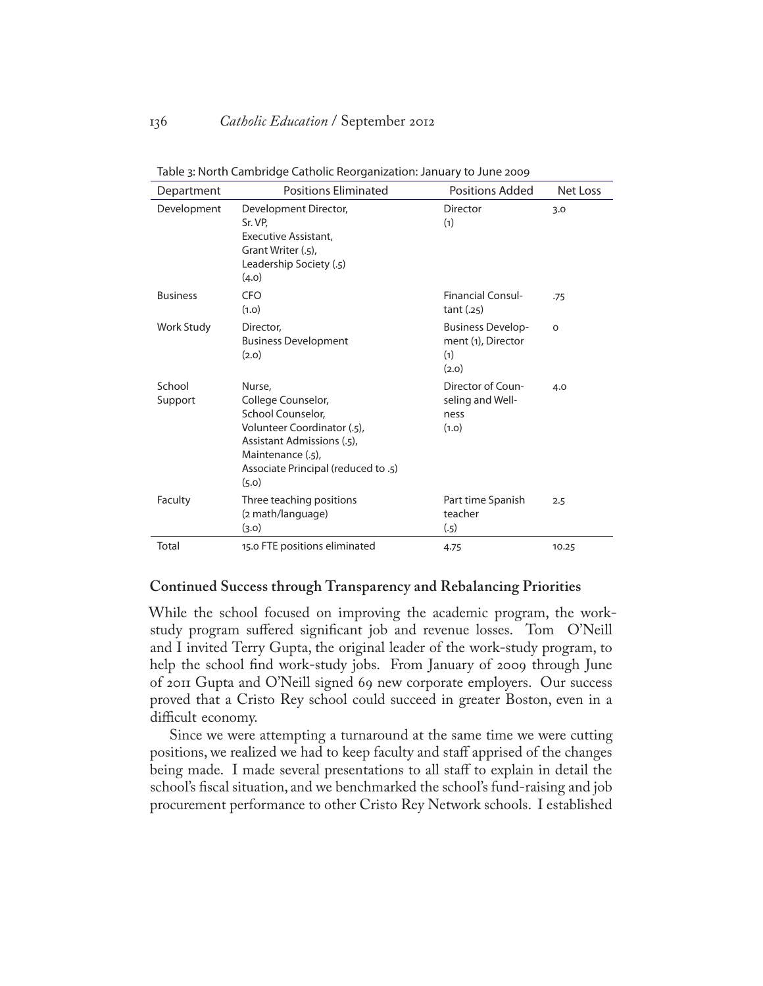| Department        | <b>Positions Fliminated</b>                                                                                                                                                         | Positions Added                                                | Net Loss |
|-------------------|-------------------------------------------------------------------------------------------------------------------------------------------------------------------------------------|----------------------------------------------------------------|----------|
| Development       | Development Director,<br>Sr. VP.<br>Executive Assistant.<br>Grant Writer (.5),<br>Leadership Society (.5)<br>(4.0)                                                                  | Director<br>(1)                                                | 3.0      |
| <b>Business</b>   | CFO<br>(1.0)                                                                                                                                                                        | <b>Financial Consul-</b><br>tant(.25)                          | .75      |
| Work Study        | Director,<br><b>Business Development</b><br>(2.0)                                                                                                                                   | <b>Business Develop-</b><br>ment (1), Director<br>(1)<br>(2.0) | $\Omega$ |
| School<br>Support | Nurse.<br>College Counselor,<br>School Counselor.<br>Volunteer Coordinator (.5),<br>Assistant Admissions (.5),<br>Maintenance (.5).<br>Associate Principal (reduced to .5)<br>(5.0) | Director of Coun-<br>seling and Well-<br>ness<br>(1.0)         | 4.0      |
| Faculty           | Three teaching positions<br>(2 math/language)<br>(3.0)                                                                                                                              | Part time Spanish<br>teacher<br>(.5)                           | 2.5      |
| Total             | 15.0 FTE positions eliminated                                                                                                                                                       | 4.75                                                           | 10.25    |

Table 3: North Cambridge Catholic Reorganization: January to June 2009

## **Continued Success through Transparency and Rebalancing Priorities**

While the school focused on improving the academic program, the workstudy program suffered significant job and revenue losses. Tom O'Neill and I invited Terry Gupta, the original leader of the work-study program, to help the school find work-study jobs. From January of 2009 through June of 2011 Gupta and O'Neill signed 69 new corporate employers. Our success proved that a Cristo Rey school could succeed in greater Boston, even in a difficult economy.

Since we were attempting a turnaround at the same time we were cutting positions, we realized we had to keep faculty and staff apprised of the changes being made. I made several presentations to all staff to explain in detail the school's fiscal situation, and we benchmarked the school's fund-raising and job procurement performance to other Cristo Rey Network schools. I established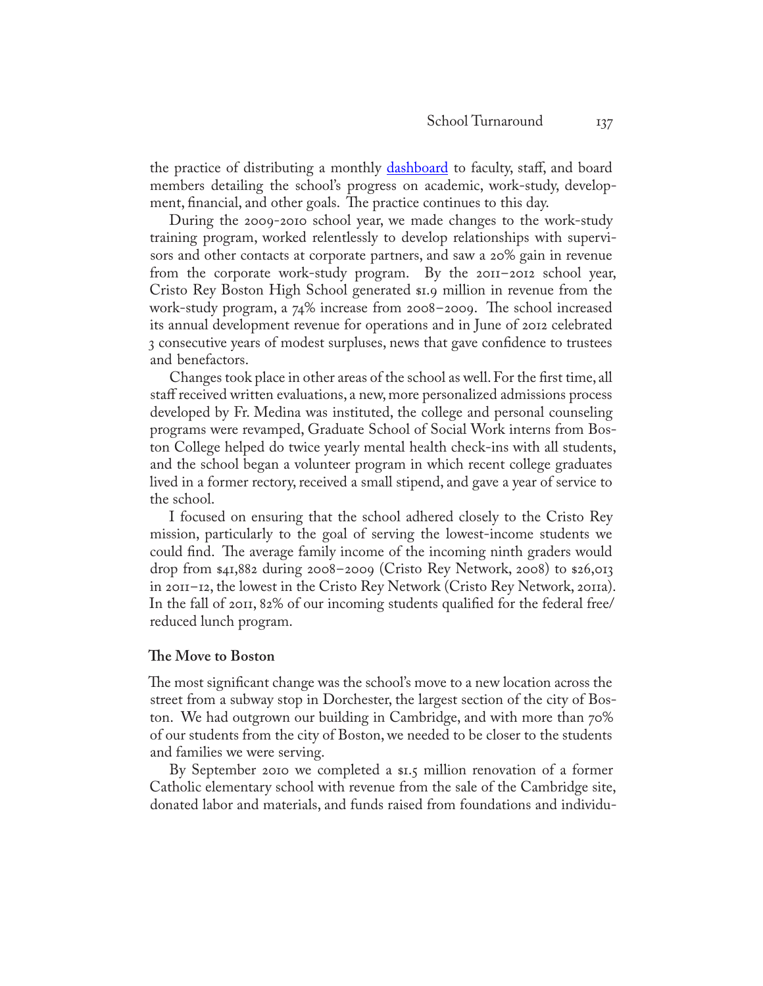the practice of distributing a monthly **dashboard** to faculty, staff, and board members detailing the school's progress on academic, work-study, development, financial, and other goals. The practice continues to this day.

During the 2009-2010 school year, we made changes to the work-study training program, worked relentlessly to develop relationships with supervisors and other contacts at corporate partners, and saw a 20% gain in revenue from the corporate work-study program. By the 2011-2012 school year, Cristo Rey Boston High School generated \$1.9 million in revenue from the work-study program, a 74% increase from 2008-2009. The school increased its annual development revenue for operations and in June of 2012 celebrated 3 consecutive years of modest surpluses, news that gave confidence to trustees and benefactors.

Changes took place in other areas of the school as well. For the first time, all staff received written evaluations, a new, more personalized admissions process developed by Fr. Medina was instituted, the college and personal counseling programs were revamped, Graduate School of Social Work interns from Boston College helped do twice yearly mental health check-ins with all students, and the school began a volunteer program in which recent college graduates lived in a former rectory, received a small stipend, and gave a year of service to the school.

I focused on ensuring that the school adhered closely to the Cristo Rey mission, particularly to the goal of serving the lowest-income students we could find. The average family income of the incoming ninth graders would drop from \$41,882 during 2008-2009 (Cristo Rey Network, 2008) to \$26,013 in 2011-12, the lowest in the Cristo Rey Network (Cristo Rey Network, 2011a). In the fall of 2011, 82% of our incoming students qualified for the federal free/ reduced lunch program.

#### **The Move to Boston**

The most significant change was the school's move to a new location across the street from a subway stop in Dorchester, the largest section of the city of Boston. We had outgrown our building in Cambridge, and with more than 70% of our students from the city of Boston, we needed to be closer to the students and families we were serving.

By September 2010 we completed a \$1.5 million renovation of a former Catholic elementary school with revenue from the sale of the Cambridge site, donated labor and materials, and funds raised from foundations and individu-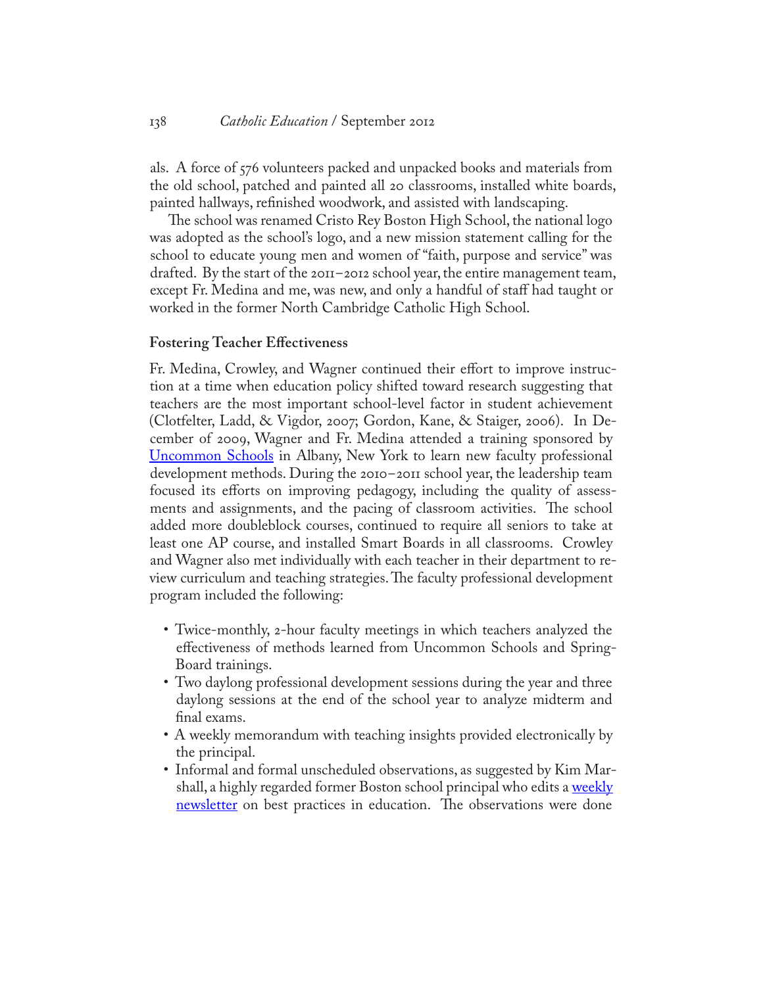#### 138 *Catholic Education* / September 2012

als. A force of 576 volunteers packed and unpacked books and materials from the old school, patched and painted all 20 classrooms, installed white boards, painted hallways, refinished woodwork, and assisted with landscaping.

The school was renamed Cristo Rey Boston High School, the national logo was adopted as the school's logo, and a new mission statement calling for the school to educate young men and women of "faith, purpose and service" was drafted. By the start of the 2011-2012 school year, the entire management team, except Fr. Medina and me, was new, and only a handful of staff had taught or worked in the former North Cambridge Catholic High School.

#### **Fostering Teacher Effectiveness**

Fr. Medina, Crowley, and Wagner continued their effort to improve instruction at a time when education policy shifted toward research suggesting that teachers are the most important school-level factor in student achievement (Clotfelter, Ladd, & Vigdor, 2007; Gordon, Kane, & Staiger, 2006). In December of 2009, Wagner and Fr. Medina attended a training sponsored by [Uncommon Schools](http://www.uncommonschools.org) in Albany, New York to learn new faculty professional development methods. During the 2010-2011 school year, the leadership team focused its efforts on improving pedagogy, including the quality of assessments and assignments, and the pacing of classroom activities. The school added more doubleblock courses, continued to require all seniors to take at least one AP course, and installed Smart Boards in all classrooms. Crowley and Wagner also met individually with each teacher in their department to review curriculum and teaching strategies. The faculty professional development program included the following:

- Twice-monthly, 2-hour faculty meetings in which teachers analyzed the effectiveness of methods learned from Uncommon Schools and Spring-Board trainings.
- Two daylong professional development sessions during the year and three daylong sessions at the end of the school year to analyze midterm and final exams.
- A weekly memorandum with teaching insights provided electronically by the principal.
- Informal and formal unscheduled observations, as suggested by Kim Marshall, a highly regarded former Boston school principal who edits a weekly [newsletter](http://www.marshallmemo.com/about.php) on best practices in education. The observations were done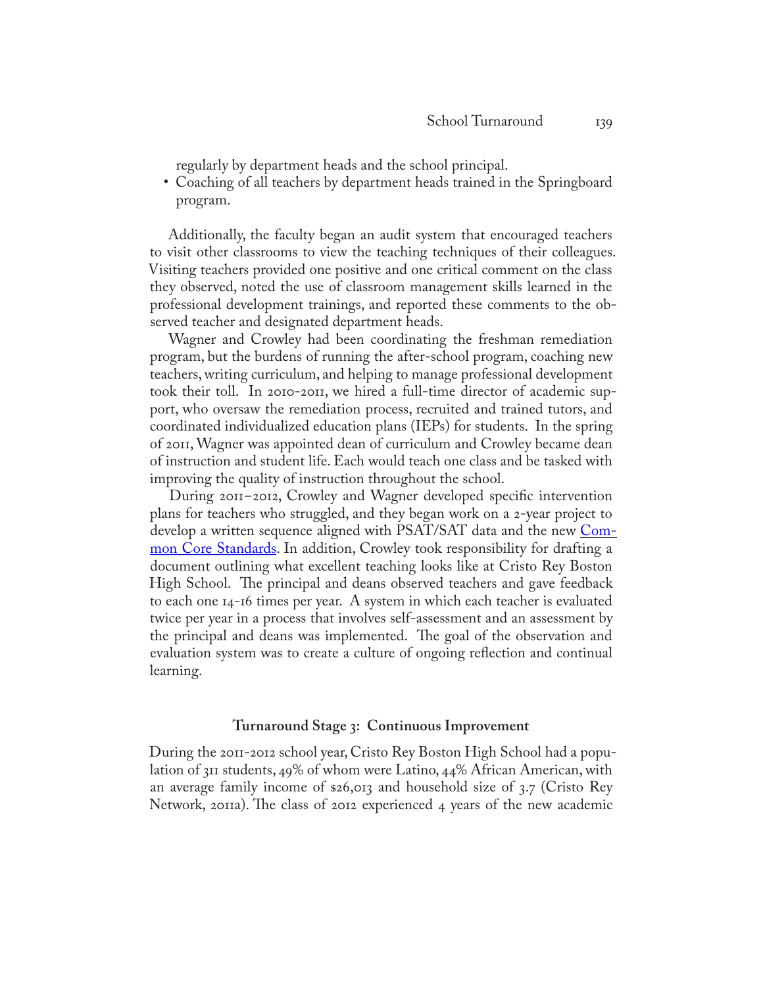regularly by department heads and the school principal.

• Coaching of all teachers by department heads trained in the Springboard program.

Additionally, the faculty began an audit system that encouraged teachers to visit other classrooms to view the teaching techniques of their colleagues. Visiting teachers provided one positive and one critical comment on the class they observed, noted the use of classroom management skills learned in the professional development trainings, and reported these comments to the observed teacher and designated department heads.

Wagner and Crowley had been coordinating the freshman remediation program, but the burdens of running the after-school program, coaching new teachers, writing curriculum, and helping to manage professional development took their toll. In 2010-2011, we hired a full-time director of academic support, who oversaw the remediation process, recruited and trained tutors, and coordinated individualized education plans (IEPs) for students. In the spring of 2011, Wagner was appointed dean of curriculum and Crowley became dean of instruction and student life. Each would teach one class and be tasked with improving the quality of instruction throughout the school.

During 2011-2012, Crowley and Wagner developed specific intervention plans for teachers who struggled, and they began work on a 2-year project to develop a written sequence aligned with PSAT/SAT data and the new [Com](http://www.corestandards.org/)[mon Core Standards.](http://www.corestandards.org/) In addition, Crowley took responsibility for drafting a document outlining what excellent teaching looks like at Cristo Rey Boston High School. The principal and deans observed teachers and gave feedback to each one 14-16 times per year. A system in which each teacher is evaluated twice per year in a process that involves self-assessment and an assessment by the principal and deans was implemented. The goal of the observation and evaluation system was to create a culture of ongoing reflection and continual learning.

#### **Turnaround Stage 3: Continuous Improvement**

During the 2011-2012 school year, Cristo Rey Boston High School had a population of 311 students, 49% of whom were Latino, 44% African American, with an average family income of \$26,013 and household size of 3.7 (Cristo Rey Network, 2011a). The class of 2012 experienced 4 years of the new academic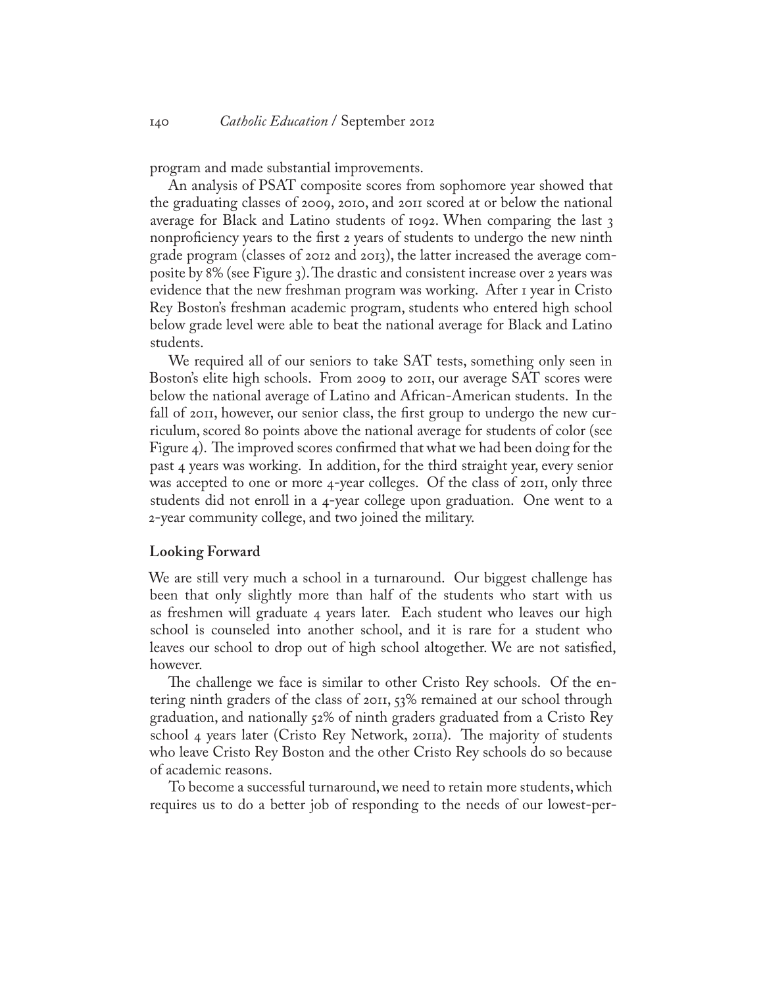program and made substantial improvements.

An analysis of PSAT composite scores from sophomore year showed that the graduating classes of 2009, 2010, and 2011 scored at or below the national average for Black and Latino students of 1092. When comparing the last 3 nonproficiency years to the first 2 years of students to undergo the new ninth grade program (classes of 2012 and 2013), the latter increased the average composite by 8% (see Figure 3). The drastic and consistent increase over 2 years was evidence that the new freshman program was working. After 1 year in Cristo Rey Boston's freshman academic program, students who entered high school below grade level were able to beat the national average for Black and Latino students.

We required all of our seniors to take SAT tests, something only seen in Boston's elite high schools. From 2009 to 2011, our average SAT scores were below the national average of Latino and African-American students. In the fall of 2011, however, our senior class, the first group to undergo the new curriculum, scored 80 points above the national average for students of color (see Figure 4). The improved scores confirmed that what we had been doing for the past 4 years was working. In addition, for the third straight year, every senior was accepted to one or more 4-year colleges. Of the class of 2011, only three students did not enroll in a 4-year college upon graduation. One went to a 2-year community college, and two joined the military.

#### **Looking Forward**

We are still very much a school in a turnaround. Our biggest challenge has been that only slightly more than half of the students who start with us as freshmen will graduate 4 years later. Each student who leaves our high school is counseled into another school, and it is rare for a student who leaves our school to drop out of high school altogether. We are not satisfied, however.

The challenge we face is similar to other Cristo Rey schools. Of the entering ninth graders of the class of 2011, 53% remained at our school through graduation, and nationally 52% of ninth graders graduated from a Cristo Rey school 4 years later (Cristo Rey Network, 2011a). The majority of students who leave Cristo Rey Boston and the other Cristo Rey schools do so because of academic reasons.

To become a successful turnaround, we need to retain more students, which requires us to do a better job of responding to the needs of our lowest-per-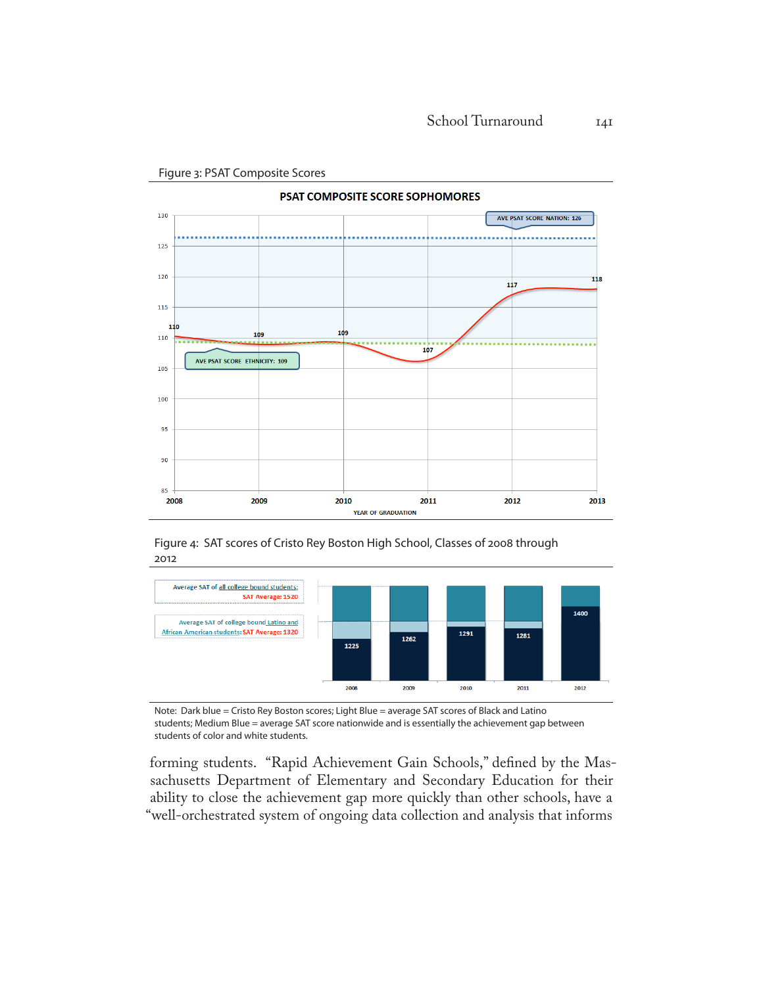

Figure 3: PSAT Composite Scores

Figure 4: SAT scores of Cristo Rey Boston High School, Classes of 2008 through 2012



Note: Dark blue = Cristo Rey Boston scores; Light Blue = average SAT scores of Black and Latino students; Medium Blue = average SAT score nationwide and is essentially the achievement gap between students of color and white students.

forming students. "Rapid Achievement Gain Schools," defined by the Massachusetts Department of Elementary and Secondary Education for their ability to close the achievement gap more quickly than other schools, have a "well-orchestrated system of ongoing data collection and analysis that informs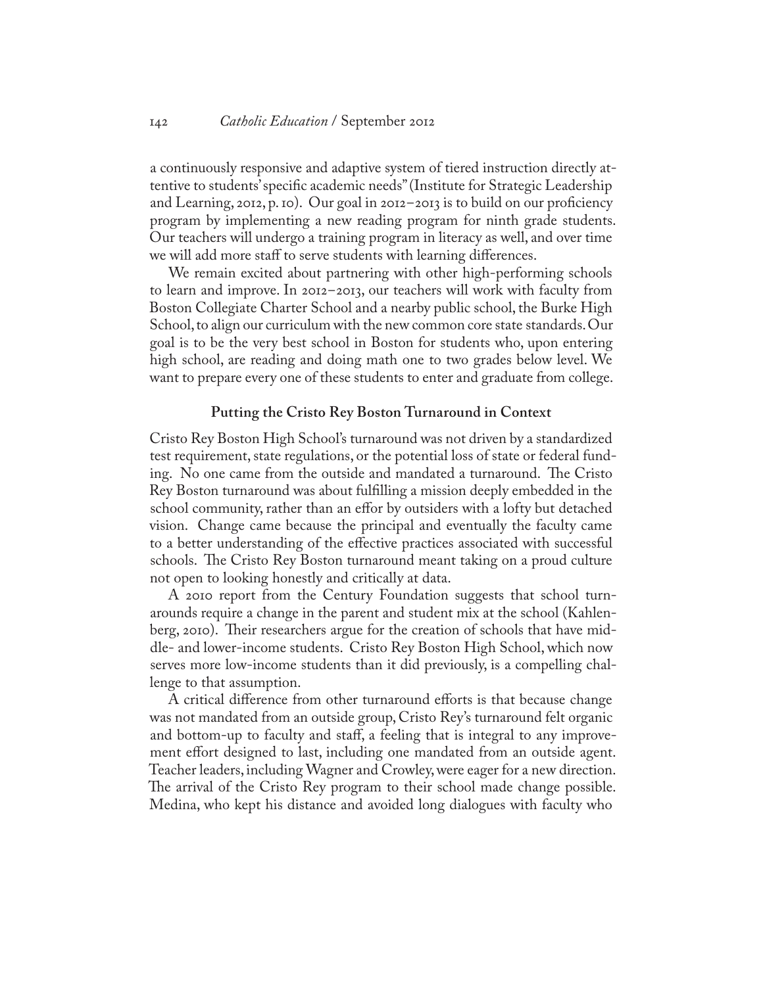a continuously responsive and adaptive system of tiered instruction directly attentive to students' specific academic needs" (Institute for Strategic Leadership and Learning, 2012, p. 10). Our goal in 2012-2013 is to build on our proficiency program by implementing a new reading program for ninth grade students. Our teachers will undergo a training program in literacy as well, and over time we will add more staff to serve students with learning differences.

We remain excited about partnering with other high-performing schools to learn and improve. In 2012-2013, our teachers will work with faculty from Boston Collegiate Charter School and a nearby public school, the Burke High School, to align our curriculum with the new common core state standards. Our goal is to be the very best school in Boston for students who, upon entering high school, are reading and doing math one to two grades below level. We want to prepare every one of these students to enter and graduate from college.

#### **Putting the Cristo Rey Boston Turnaround in Context**

Cristo Rey Boston High School's turnaround was not driven by a standardized test requirement, state regulations, or the potential loss of state or federal funding. No one came from the outside and mandated a turnaround. The Cristo Rey Boston turnaround was about fulfilling a mission deeply embedded in the school community, rather than an effor by outsiders with a lofty but detached vision. Change came because the principal and eventually the faculty came to a better understanding of the effective practices associated with successful schools. The Cristo Rey Boston turnaround meant taking on a proud culture not open to looking honestly and critically at data.

A 2010 report from the Century Foundation suggests that school turnarounds require a change in the parent and student mix at the school (Kahlenberg, 2010). Their researchers argue for the creation of schools that have middle- and lower-income students. Cristo Rey Boston High School, which now serves more low-income students than it did previously, is a compelling challenge to that assumption.

A critical difference from other turnaround efforts is that because change was not mandated from an outside group, Cristo Rey's turnaround felt organic and bottom-up to faculty and staff, a feeling that is integral to any improvement effort designed to last, including one mandated from an outside agent. Teacher leaders, including Wagner and Crowley, were eager for a new direction. The arrival of the Cristo Rey program to their school made change possible. Medina, who kept his distance and avoided long dialogues with faculty who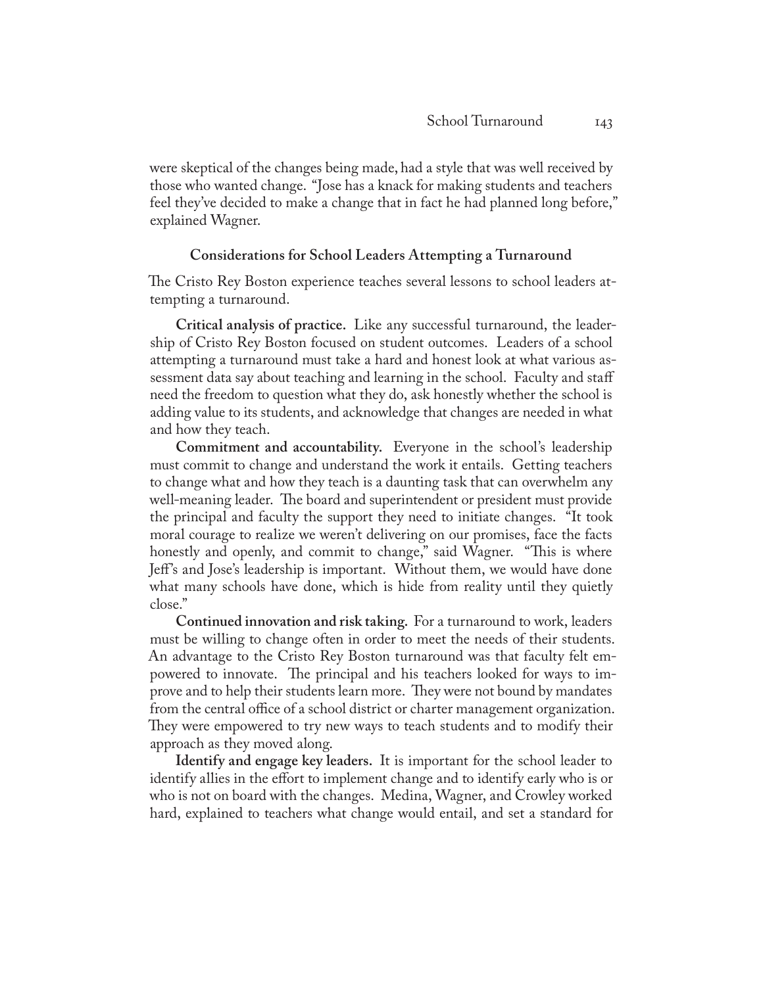were skeptical of the changes being made, had a style that was well received by those who wanted change. "Jose has a knack for making students and teachers feel they've decided to make a change that in fact he had planned long before," explained Wagner.

## **Considerations for School Leaders Attempting a Turnaround**

The Cristo Rey Boston experience teaches several lessons to school leaders attempting a turnaround.

**Critical analysis of practice.** Like any successful turnaround, the leadership of Cristo Rey Boston focused on student outcomes. Leaders of a school attempting a turnaround must take a hard and honest look at what various assessment data say about teaching and learning in the school. Faculty and staff need the freedom to question what they do, ask honestly whether the school is adding value to its students, and acknowledge that changes are needed in what and how they teach.

**Commitment and accountability.** Everyone in the school's leadership must commit to change and understand the work it entails. Getting teachers to change what and how they teach is a daunting task that can overwhelm any well-meaning leader. The board and superintendent or president must provide the principal and faculty the support they need to initiate changes. "It took moral courage to realize we weren't delivering on our promises, face the facts honestly and openly, and commit to change," said Wagner. "This is where Jeff's and Jose's leadership is important. Without them, we would have done what many schools have done, which is hide from reality until they quietly close."

**Continued innovation and risk taking.** For a turnaround to work, leaders must be willing to change often in order to meet the needs of their students. An advantage to the Cristo Rey Boston turnaround was that faculty felt empowered to innovate. The principal and his teachers looked for ways to improve and to help their students learn more. They were not bound by mandates from the central office of a school district or charter management organization. They were empowered to try new ways to teach students and to modify their approach as they moved along.

**Identify and engage key leaders.** It is important for the school leader to identify allies in the effort to implement change and to identify early who is or who is not on board with the changes. Medina, Wagner, and Crowley worked hard, explained to teachers what change would entail, and set a standard for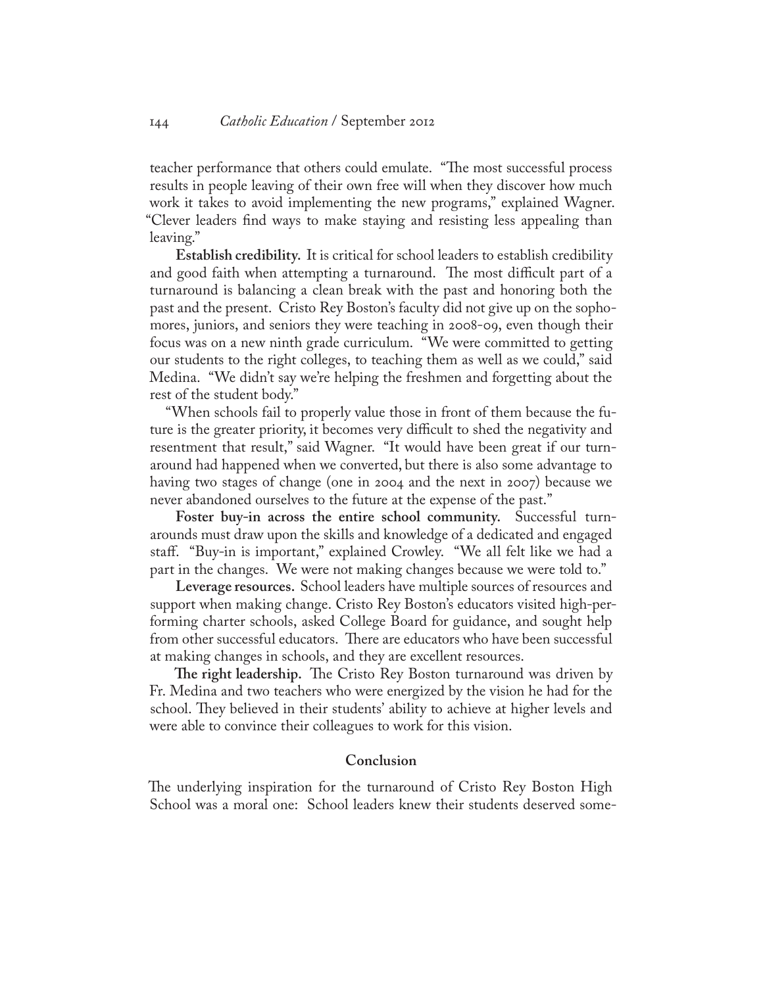teacher performance that others could emulate. "The most successful process results in people leaving of their own free will when they discover how much work it takes to avoid implementing the new programs," explained Wagner. "Clever leaders find ways to make staying and resisting less appealing than leaving."

**Establish credibility.** It is critical for school leaders to establish credibility and good faith when attempting a turnaround. The most difficult part of a turnaround is balancing a clean break with the past and honoring both the past and the present. Cristo Rey Boston's faculty did not give up on the sophomores, juniors, and seniors they were teaching in 2008-09, even though their focus was on a new ninth grade curriculum. "We were committed to getting our students to the right colleges, to teaching them as well as we could," said Medina. "We didn't say we're helping the freshmen and forgetting about the rest of the student body."

"When schools fail to properly value those in front of them because the future is the greater priority, it becomes very difficult to shed the negativity and resentment that result," said Wagner. "It would have been great if our turnaround had happened when we converted, but there is also some advantage to having two stages of change (one in 2004 and the next in 2007) because we never abandoned ourselves to the future at the expense of the past."

**Foster buy-in across the entire school community.** Successful turnarounds must draw upon the skills and knowledge of a dedicated and engaged staff. "Buy-in is important," explained Crowley. "We all felt like we had a part in the changes. We were not making changes because we were told to."

**Leverage resources.** School leaders have multiple sources of resources and support when making change. Cristo Rey Boston's educators visited high-performing charter schools, asked College Board for guidance, and sought help from other successful educators. There are educators who have been successful at making changes in schools, and they are excellent resources.

**The right leadership.** The Cristo Rey Boston turnaround was driven by Fr. Medina and two teachers who were energized by the vision he had for the school. They believed in their students' ability to achieve at higher levels and were able to convince their colleagues to work for this vision.

## **Conclusion**

The underlying inspiration for the turnaround of Cristo Rey Boston High School was a moral one: School leaders knew their students deserved some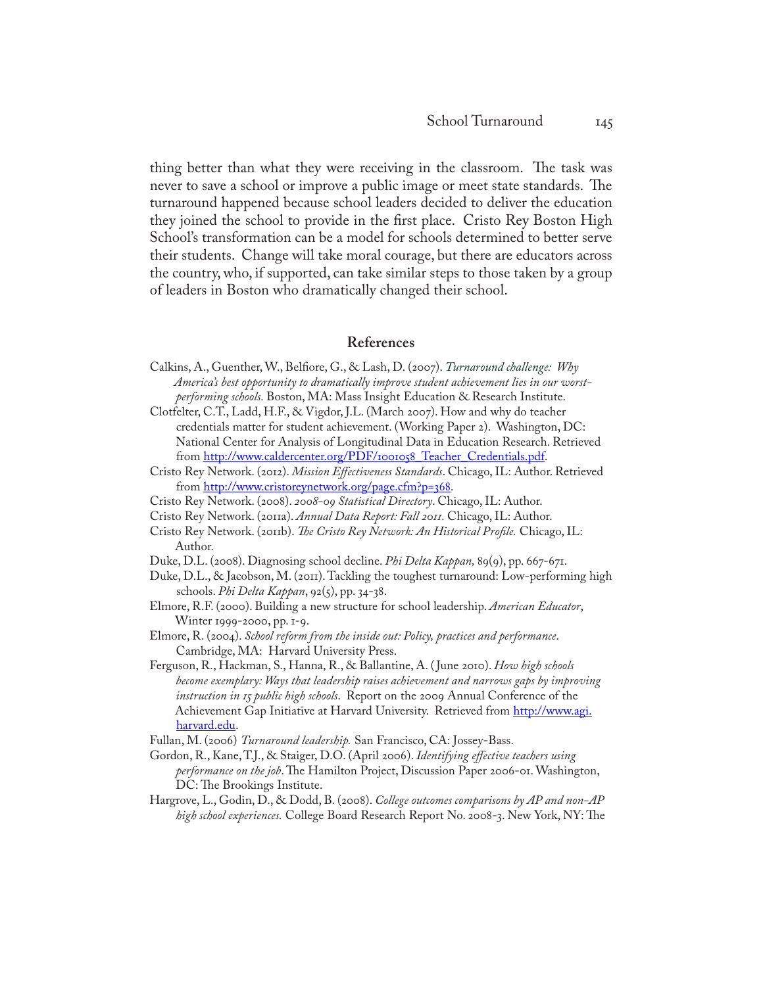thing better than what they were receiving in the classroom. The task was never to save a school or improve a public image or meet state standards. The turnaround happened because school leaders decided to deliver the education they joined the school to provide in the first place. Cristo Rey Boston High School's transformation can be a model for schools determined to better serve their students. Change will take moral courage, but there are educators across the country, who, if supported, can take similar steps to those taken by a group of leaders in Boston who dramatically changed their school.

## **References**

- Calkins, A., Guenther, W., Belfiore, G., & Lash, D. (2007). *Turnaround challenge: Why America's best opportunity to dramatically improve student achievement lies in our worstperforming schools.* Boston, MA: Mass Insight Education & Research Institute.
- Clotfelter, C.T., Ladd, H.F., & Vigdor, J.L. (March 2007). How and why do teacher credentials matter for student achievement. (Working Paper 2). Washington, DC: National Center for Analysis of Longitudinal Data in Education Research. Retrieved from http://www.caldercenter.org/PDF/1001058 Teacher Credentials.pdf.
- Cristo Rey Network. (2012). *Mission Effectiveness Standards*. Chicago, IL: Author. Retrieved from [http://www.cristoreynetwork.org/page.cfm?p=368.](http://www.cristoreynetwork.org/page.cfm?p=368)
- Cristo Rey Network. (2008). *2008-09 Statistical Directory*. Chicago, IL: Author.
- Cristo Rey Network. (2011a). *Annual Data Report: Fall 2011.* Chicago, IL: Author.
- Cristo Rey Network. (2011b). *The Cristo Rey Network: An Historical Profile.* Chicago, IL: Author.
- Duke, D.L. (2008). Diagnosing school decline. *Phi Delta Kappan,* 89(9), pp. 667-671.
- Duke, D.L., & Jacobson, M. (2011). Tackling the toughest turnaround: Low-performing high schools. *Phi Delta Kappan*, 92(5), pp. 34-38.
- Elmore, R.F. (2000). Building a new structure for school leadership. *American Educator*, Winter 1999-2000, pp. 1-9.
- Elmore, R. (2004). *School reform from the inside out: Policy, practices and performance*. Cambridge, MA: Harvard University Press.
- Ferguson, R., Hackman, S., Hanna, R., & Ballantine, A. ( June 2010). *How high schools become exemplary: Ways that leadership raises achievement and narrows gaps by improving instruction in 15 public high schools*. Report on the 2009 Annual Conference of the Achievement Gap Initiative at Harvard University. Retrieved from [http://www.agi.](http://www.agi.harvard.edu) [harvard.edu](http://www.agi.harvard.edu).
- Fullan, M. (2006) *Turnaround leadership.* San Francisco, CA: Jossey-Bass.
- Gordon, R., Kane, T.J., & Staiger, D.O. (April 2006). *Identifying effective teachers using performance on the job*. The Hamilton Project, Discussion Paper 2006-01. Washington, DC: The Brookings Institute.
- Hargrove, L., Godin, D., & Dodd, B. (2008). *College outcomes comparisons by AP and non-AP high school experiences.* College Board Research Report No. 2008-3. New York, NY: The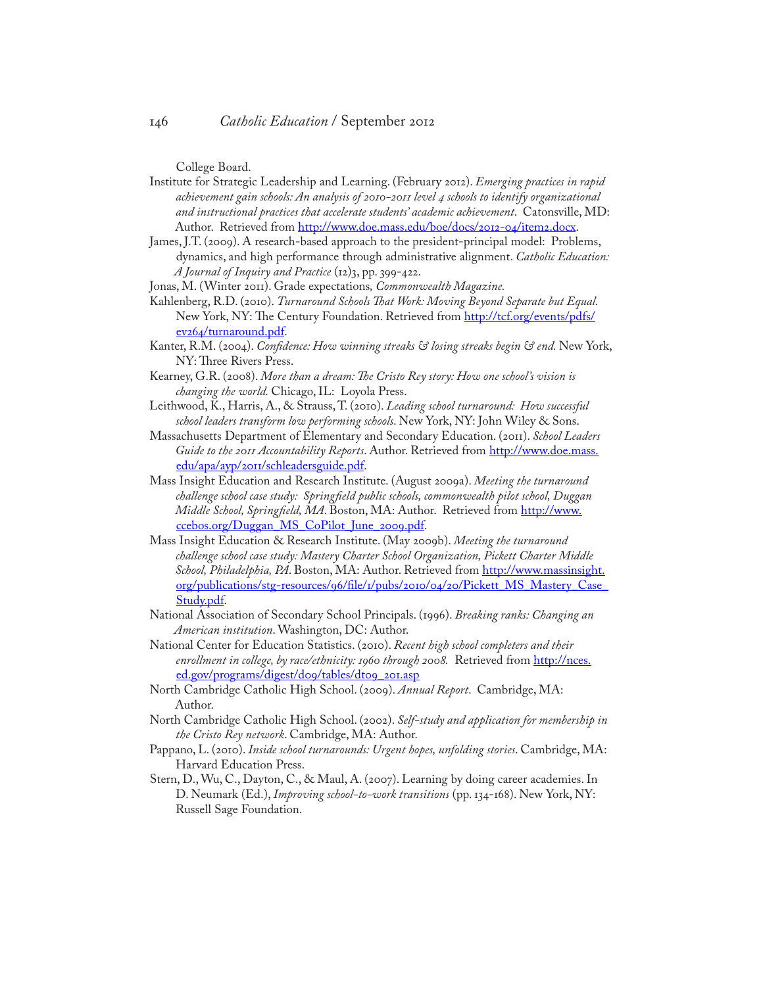College Board.

- Institute for Strategic Leadership and Learning. (February 2012). *Emerging practices in rapid achievement gain schools: An analysis of 2010-2011 level 4 schools to identify organizational and instructional practices that accelerate students' academic achievement*. Catonsville, MD: Author. Retrieved from<http://www.doe.mass.edu/boe/docs/2012-04/item2.docx>.
- James, J.T. (2009). A research-based approach to the president-principal model: Problems, dynamics, and high performance through administrative alignment. *Catholic Education: A Journal of Inquiry and Practice* (12)3, pp. 399-422.
- Jonas, M. (Winter 2011). Grade expectations*, Commonwealth Magazine.*
- Kahlenberg, R.D. (2010). *Turnaround Schools That Work: Moving Beyond Separate but Equal.* New York, NY: The Century Foundation. Retrieved from [http://tcf.org/events/pdfs/](http://tcf.org/events/pdfs/ev264/turnaround.pdf) [ev264/turnaround.pdf](http://tcf.org/events/pdfs/ev264/turnaround.pdf).
- Kanter, R.M. (2004). *Confidence: How winning streaks & losing streaks begin & end.* New York, NY: Three Rivers Press.
- Kearney, G.R. (2008). *More than a dream: The Cristo Rey story: How one school's vision is changing the world.* Chicago, IL: Loyola Press.
- Leithwood, K., Harris, A., & Strauss, T. (2010). *Leading school turnaround: How successful school leaders transform low performing schools*. New York, NY: John Wiley & Sons.
- Massachusetts Department of Elementary and Secondary Education. (2011). *School Leaders*  Guide to the 2011 Accountability Reports. Author. Retrieved from [http://www.doe.mass.](http://www.doe.mass.edu/apa/ayp/2011/schleadersguide.pdf) [edu/apa/ayp/2011/schleadersguide.pdf.](http://www.doe.mass.edu/apa/ayp/2011/schleadersguide.pdf)
- Mass Insight Education and Research Institute. (August 2009a). *Meeting the turnaround challenge school case study: Springfield public schools, commonwealth pilot school, Duggan Middle School, Springfield, MA*. Boston, MA: Author. Retrieved from [http://www.](http://www.ccebos.org/Duggan_MS_CoPilot_June_2009.pdf) [ccebos.org/Duggan\\_MS\\_CoPilot\\_June\\_2009.pdf](http://www.ccebos.org/Duggan_MS_CoPilot_June_2009.pdf).
- Mass Insight Education & Research Institute. (May 2009b). *Meeting the turnaround challenge school case study: Mastery Charter School Organization, Pickett Charter Middle School, Philadelphia, PA*. Boston, MA: Author. Retrieved from [http://www.massinsight.](http://www.massinsight.org/publications/stg-resources/96/file/1/pubs/2010/04/20/Pickett_MS_Mastery_Case_Study.pdf) [org/publications/stg-resources/96/file/1/pubs/2010/04/20/Pickett\\_MS\\_Mastery\\_Case\\_](http://www.massinsight.org/publications/stg-resources/96/file/1/pubs/2010/04/20/Pickett_MS_Mastery_Case_Study.pdf) [Study.pdf.](http://www.massinsight.org/publications/stg-resources/96/file/1/pubs/2010/04/20/Pickett_MS_Mastery_Case_Study.pdf)
- National Association of Secondary School Principals. (1996). *Breaking ranks: Changing an American institution*. Washington, DC: Author.
- National Center for Education Statistics. (2010). *Recent high school completers and their enrollment in college, by race/ethnicity: 1960 through 2008.* Retrieved from [http://nces.](http://nces.ed.gov/programs/digest/d09/tables/dt09_201.asp) [ed.gov/programs/digest/d09/tables/dt09\\_201.asp](http://nces.ed.gov/programs/digest/d09/tables/dt09_201.asp)
- North Cambridge Catholic High School. (2009). *Annual Report*. Cambridge, MA: Author.
- North Cambridge Catholic High School. (2002). *Self-study and application for membership in the Cristo Rey network*. Cambridge, MA: Author.
- Pappano, L. (2010). *Inside school turnarounds: Urgent hopes, unfolding stories*. Cambridge, MA: Harvard Education Press.
- Stern, D., Wu, C., Dayton, C., & Maul, A. (2007). Learning by doing career academies. In D. Neumark (Ed.), *Improving school-to-work transitions* (pp. 134-168). New York, NY: Russell Sage Foundation.